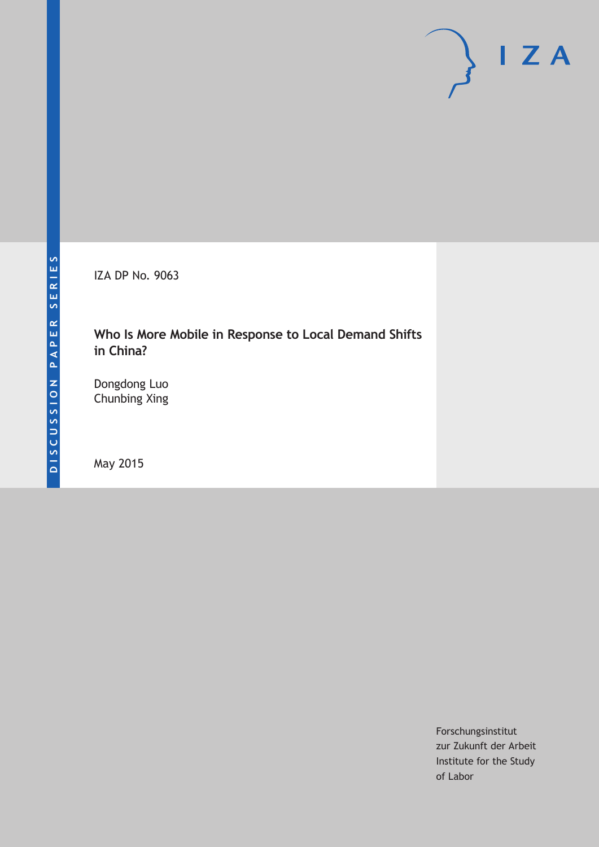IZA DP No. 9063

### **Who Is More Mobile in Response to Local Demand Shifts in China?**

Dongdong Luo Chunbing Xing

May 2015

Forschungsinstitut zur Zukunft der Arbeit Institute for the Study of Labor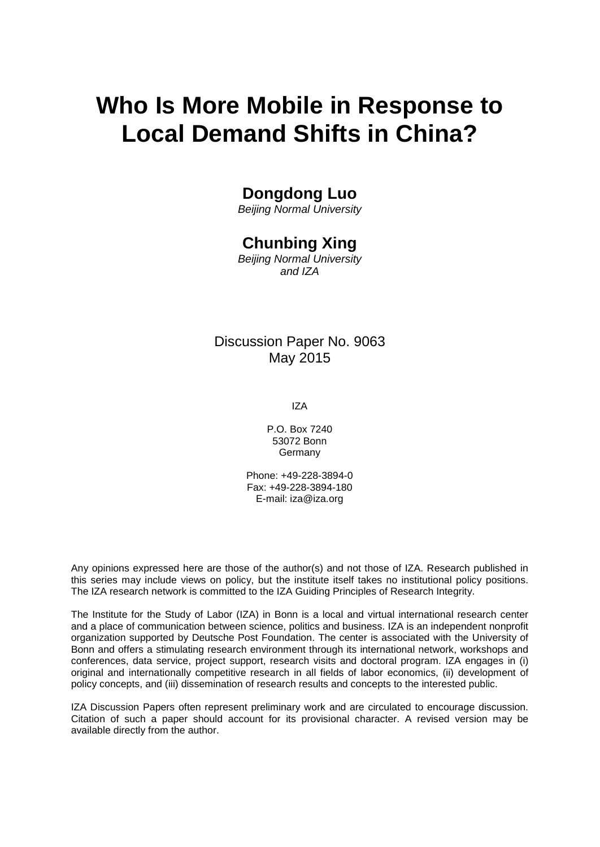# **Who Is More Mobile in Response to Local Demand Shifts in China?**

### **Dongdong Luo**

*Beijing Normal University*

### **Chunbing Xing**

*Beijing Normal University and IZA*

### Discussion Paper No. 9063 May 2015

IZA

P.O. Box 7240 53072 Bonn **Germany** 

Phone: +49-228-3894-0 Fax: +49-228-3894-180 E-mail: iza@iza.org

Any opinions expressed here are those of the author(s) and not those of IZA. Research published in this series may include views on policy, but the institute itself takes no institutional policy positions. The IZA research network is committed to the IZA Guiding Principles of Research Integrity.

The Institute for the Study of Labor (IZA) in Bonn is a local and virtual international research center and a place of communication between science, politics and business. IZA is an independent nonprofit organization supported by Deutsche Post Foundation. The center is associated with the University of Bonn and offers a stimulating research environment through its international network, workshops and conferences, data service, project support, research visits and doctoral program. IZA engages in (i) original and internationally competitive research in all fields of labor economics, (ii) development of policy concepts, and (iii) dissemination of research results and concepts to the interested public.

IZA Discussion Papers often represent preliminary work and are circulated to encourage discussion. Citation of such a paper should account for its provisional character. A revised version may be available directly from the author.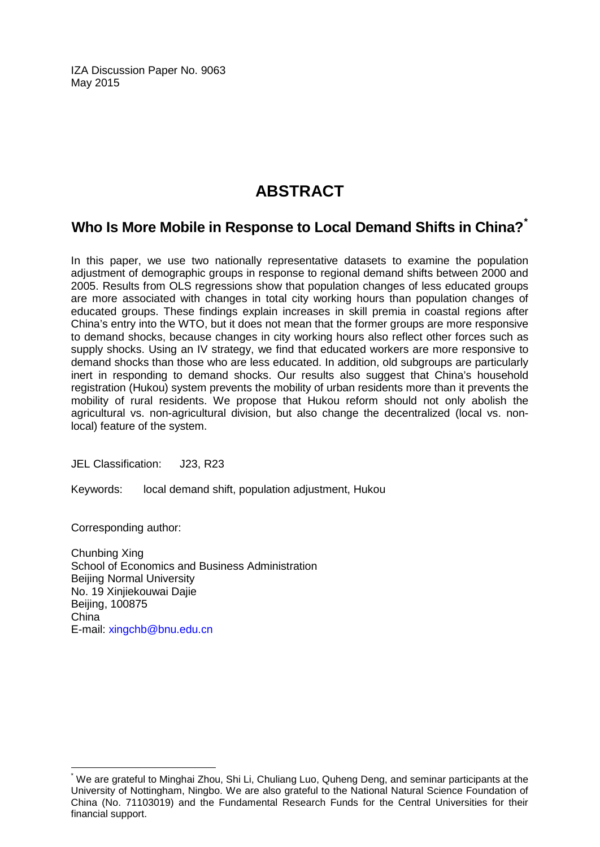IZA Discussion Paper No. 9063 May 2015

## **ABSTRACT**

### **Who Is More Mobile in Response to Local Demand Shifts in China?[\\*](#page-2-0)**

In this paper, we use two nationally representative datasets to examine the population adjustment of demographic groups in response to regional demand shifts between 2000 and 2005. Results from OLS regressions show that population changes of less educated groups are more associated with changes in total city working hours than population changes of educated groups. These findings explain increases in skill premia in coastal regions after China's entry into the WTO, but it does not mean that the former groups are more responsive to demand shocks, because changes in city working hours also reflect other forces such as supply shocks. Using an IV strategy, we find that educated workers are more responsive to demand shocks than those who are less educated. In addition, old subgroups are particularly inert in responding to demand shocks. Our results also suggest that China's household registration (Hukou) system prevents the mobility of urban residents more than it prevents the mobility of rural residents. We propose that Hukou reform should not only abolish the agricultural vs. non-agricultural division, but also change the decentralized (local vs. nonlocal) feature of the system.

JEL Classification: J23, R23

Keywords: local demand shift, population adjustment, Hukou

Corresponding author:

Chunbing Xing School of Economics and Business Administration Beijing Normal University No. 19 Xinjiekouwai Dajie Beijing, 100875 China E-mail: [xingchb@bnu.edu.cn](mailto:xingchb@bnu.edu.cn)

<span id="page-2-0"></span>We are grateful to Minghai Zhou, Shi Li, Chuliang Luo, Quheng Deng, and seminar participants at the University of Nottingham, Ningbo. We are also grateful to the National Natural Science Foundation of China (No. 71103019) and the Fundamental Research Funds for the Central Universities for their financial support.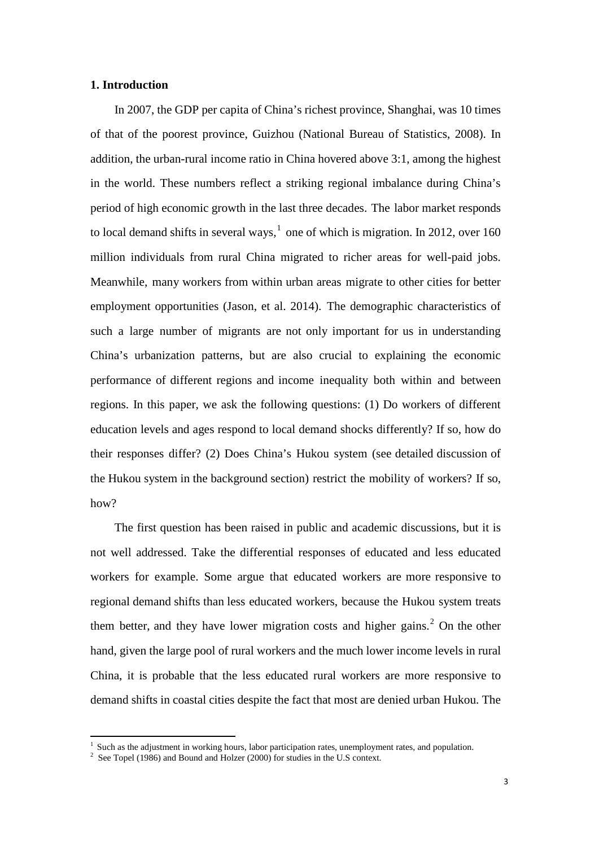#### **1. Introduction**

In 2007, the GDP per capita of China's richest province, Shanghai, was 10 times of that of the poorest province, Guizhou (National Bureau of Statistics, 2008). In addition, the urban-rural income ratio in China hovered above 3:1, among the highest in the world. These numbers reflect a striking regional imbalance during China's period of high economic growth in the last three decades. The labor market responds to local demand shifts in several ways,<sup>1</sup> one of which is migration. In 2012, over 160 million individuals from rural China migrated to richer areas for well-paid jobs. Meanwhile, many workers from within urban areas migrate to other cities for better employment opportunities (Jason, et al. 2014). The demographic characteristics of such a large number of migrants are not only important for us in understanding China's urbanization patterns, but are also crucial to explaining the economic performance of different regions and income inequality both within and between regions. In this paper, we ask the following questions: (1) Do workers of different education levels and ages respond to local demand shocks differently? If so, how do their responses differ? (2) Does China's Hukou system (see detailed discussion of the Hukou system in the background section) restrict the mobility of workers? If so, how?

The first question has been raised in public and academic discussions, but it is not well addressed. Take the differential responses of educated and less educated workers for example. Some argue that educated workers are more responsive to regional demand shifts than less educated workers, because the Hukou system treats them better, and they have lower migration costs and higher gains.<sup>[2](#page-3-0)</sup> On the other hand, given the large pool of rural workers and the much lower income levels in rural China, it is probable that the less educated rural workers are more responsive to demand shifts in coastal cities despite the fact that most are denied urban Hukou. The

<span id="page-3-1"></span><span id="page-3-0"></span><sup>&</sup>lt;sup>1</sup> Such as the adjustment in working hours, labor participation rates, unemployment rates, and population. <sup>2</sup> See Topel (1986) and Bound and Holzer (2000) for studies in the U.S context.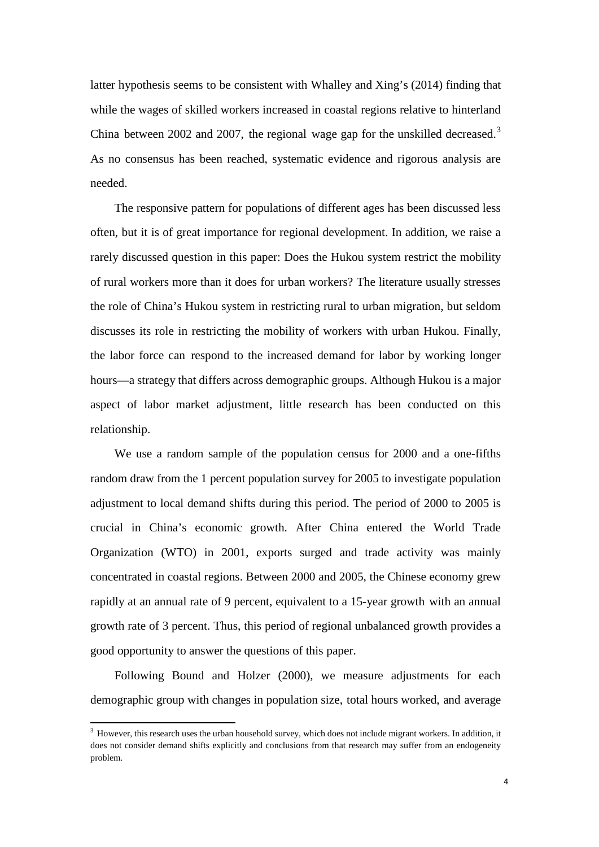latter hypothesis seems to be consistent with Whalley and Xing's (2014) finding that while the wages of skilled workers increased in coastal regions relative to hinterland China between 2002 and 2007, the regional wage gap for the unskilled decreased.<sup>[3](#page-3-1)</sup> As no consensus has been reached, systematic evidence and rigorous analysis are needed.

The responsive pattern for populations of different ages has been discussed less often, but it is of great importance for regional development. In addition, we raise a rarely discussed question in this paper: Does the Hukou system restrict the mobility of rural workers more than it does for urban workers? The literature usually stresses the role of China's Hukou system in restricting rural to urban migration, but seldom discusses its role in restricting the mobility of workers with urban Hukou. Finally, the labor force can respond to the increased demand for labor by working longer hours—a strategy that differs across demographic groups. Although Hukou is a major aspect of labor market adjustment, little research has been conducted on this relationship.

We use a random sample of the population census for 2000 and a one-fifths random draw from the 1 percent population survey for 2005 to investigate population adjustment to local demand shifts during this period. The period of 2000 to 2005 is crucial in China's economic growth. After China entered the World Trade Organization (WTO) in 2001, exports surged and trade activity was mainly concentrated in coastal regions. Between 2000 and 2005, the Chinese economy grew rapidly at an annual rate of 9 percent, equivalent to a 15-year growth with an annual growth rate of 3 percent. Thus, this period of regional unbalanced growth provides a good opportunity to answer the questions of this paper.

Following Bound and Holzer (2000), we measure adjustments for each demographic group with changes in population size, total hours worked, and average

<span id="page-4-0"></span><sup>&</sup>lt;sup>3</sup> However, this research uses the urban household survey, which does not include migrant workers. In addition, it does not consider demand shifts explicitly and conclusions from that research may suffer from an endogeneity problem.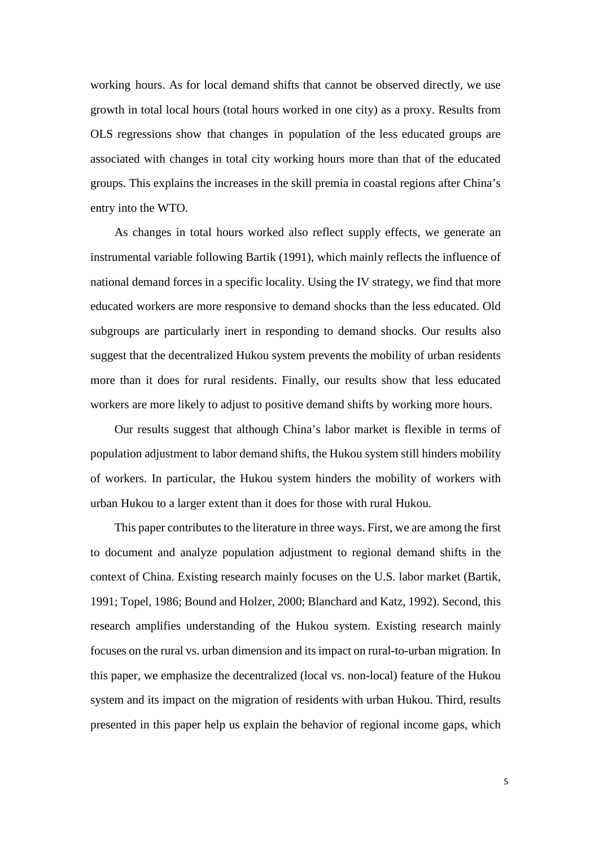working hours. As for local demand shifts that cannot be observed directly, we use growth in total local hours (total hours worked in one city) as a proxy. Results from OLS regressions show that changes in population of the less educated groups are associated with changes in total city working hours more than that of the educated groups. This explains the increases in the skill premia in coastal regions after China's entry into the WTO.

As changes in total hours worked also reflect supply effects, we generate an instrumental variable following Bartik (1991), which mainly reflects the influence of national demand forces in a specific locality. Using the IV strategy, we find that more educated workers are more responsive to demand shocks than the less educated. Old subgroups are particularly inert in responding to demand shocks. Our results also suggest that the decentralized Hukou system prevents the mobility of urban residents more than it does for rural residents. Finally, our results show that less educated workers are more likely to adjust to positive demand shifts by working more hours.

Our results suggest that although China's labor market is flexible in terms of population adjustment to labor demand shifts, the Hukou system still hinders mobility of workers. In particular, the Hukou system hinders the mobility of workers with urban Hukou to a larger extent than it does for those with rural Hukou.

This paper contributes to the literature in three ways. First, we are among the first to document and analyze population adjustment to regional demand shifts in the context of China. Existing research mainly focuses on the U.S. labor market (Bartik, 1991; Topel, 1986; Bound and Holzer, 2000; Blanchard and Katz, 1992). Second, this research amplifies understanding of the Hukou system. Existing research mainly focuses on the rural vs. urban dimension and its impact on rural-to-urban migration. In this paper, we emphasize the decentralized (local vs. non-local) feature of the Hukou system and its impact on the migration of residents with urban Hukou. Third, results presented in this paper help us explain the behavior of regional income gaps, which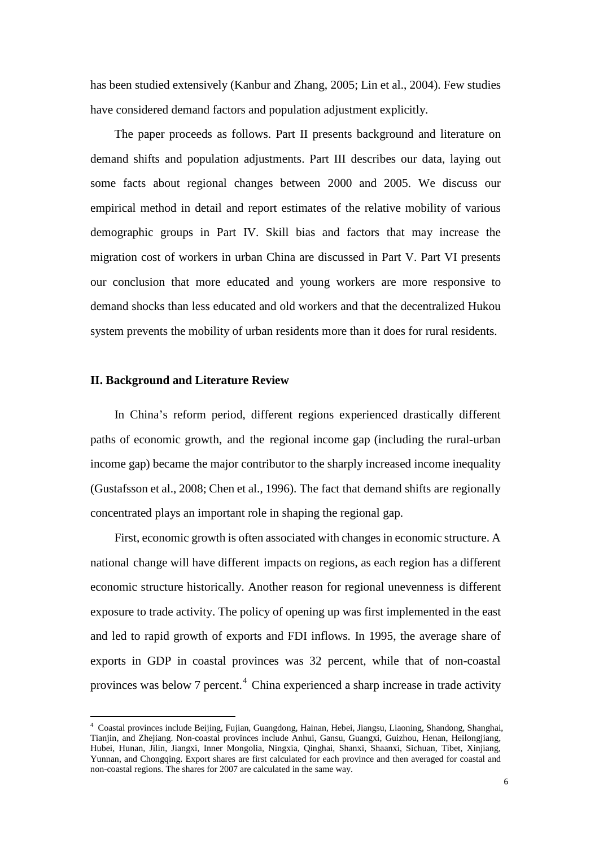has been studied extensively (Kanbur and Zhang, 2005; Lin et al., 2004). Few studies have considered demand factors and population adjustment explicitly.

The paper proceeds as follows. Part II presents background and literature on demand shifts and population adjustments. Part III describes our data, laying out some facts about regional changes between 2000 and 2005. We discuss our empirical method in detail and report estimates of the relative mobility of various demographic groups in Part IV. Skill bias and factors that may increase the migration cost of workers in urban China are discussed in Part V. Part VI presents our conclusion that more educated and young workers are more responsive to demand shocks than less educated and old workers and that the decentralized Hukou system prevents the mobility of urban residents more than it does for rural residents.

#### **II. Background and Literature Review**

In China's reform period, different regions experienced drastically different paths of economic growth, and the regional income gap (including the rural-urban income gap) became the major contributor to the sharply increased income inequality (Gustafsson et al., 2008; Chen et al., 1996). The fact that demand shifts are regionally concentrated plays an important role in shaping the regional gap.

First, economic growth is often associated with changes in economic structure. A national change will have different impacts on regions, as each region has a different economic structure historically. Another reason for regional unevenness is different exposure to trade activity. The policy of opening up was first implemented in the east and led to rapid growth of exports and FDI inflows. In 1995, the average share of exports in GDP in coastal provinces was 32 percent, while that of non-coastal provinces was below 7 percent.[4](#page-4-0) China experienced a sharp increase in trade activity

<span id="page-6-0"></span><sup>4</sup> Coastal provinces include Beijing, Fujian, Guangdong, Hainan, Hebei, Jiangsu, Liaoning, Shandong, Shanghai, Tianjin, and Zhejiang. Non-coastal provinces include Anhui, Gansu, Guangxi, Guizhou, Henan, Heilongjiang, Hubei, Hunan, Jilin, Jiangxi, Inner Mongolia, Ningxia, Qinghai, Shanxi, Shaanxi, Sichuan, Tibet, Xinjiang, Yunnan, and Chongqing. Export shares are first calculated for each province and then averaged for coastal and non-coastal regions. The shares for 2007 are calculated in the same way.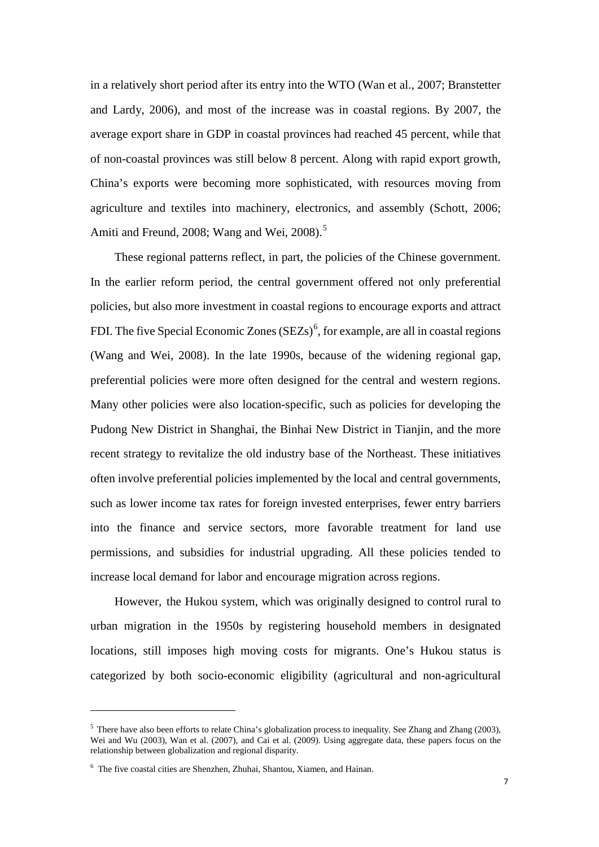in a relatively short period after its entry into the WTO (Wan et al., 2007; Branstetter and Lardy, 2006), and most of the increase was in coastal regions. By 2007, the average export share in GDP in coastal provinces had reached 45 percent, while that of non-coastal provinces was still below 8 percent. Along with rapid export growth, China's exports were becoming more sophisticated, with resources moving from agriculture and textiles into machinery, electronics, and assembly (Schott, 2006; Amiti and Freund, 2008; Wang and Wei, 2008).<sup>[5](#page-6-0)</sup>

These regional patterns reflect, in part, the policies of the Chinese government. In the earlier reform period, the central government offered not only preferential policies, but also more investment in coastal regions to encourage exports and attract FDI. The five Special Economic Zones  $(SEZs)^6$  $(SEZs)^6$ , for example, are all in coastal regions (Wang and Wei, 2008). In the late 1990s, because of the widening regional gap, preferential policies were more often designed for the central and western regions. Many other policies were also location-specific, such as policies for developing the Pudong New District in Shanghai, the Binhai New District in Tianjin, and the more recent strategy to revitalize the old industry base of the Northeast. These initiatives often involve preferential policies implemented by the local and central governments, such as lower income tax rates for foreign invested enterprises, fewer entry barriers into the finance and service sectors, more favorable treatment for land use permissions, and subsidies for industrial upgrading. All these policies tended to increase local demand for labor and encourage migration across regions.

<span id="page-7-1"></span>However, the Hukou system, which was originally designed to control rural to urban migration in the 1950s by registering household members in designated locations, still imposes high moving costs for migrants. One's Hukou status is categorized by both socio-economic eligibility (agricultural and non-agricultural

 $\overline{a}$ 

<sup>&</sup>lt;sup>5</sup> There have also been efforts to relate China's globalization process to inequality. See Zhang and Zhang (2003), Wei and Wu (2003), Wan et al. (2007), and Cai et al. (2009). Using aggregate data, these papers focus on the relationship between globalization and regional disparity.

<span id="page-7-0"></span><sup>6</sup> The five coastal cities are Shenzhen, Zhuhai, Shantou, Xiamen, and Hainan.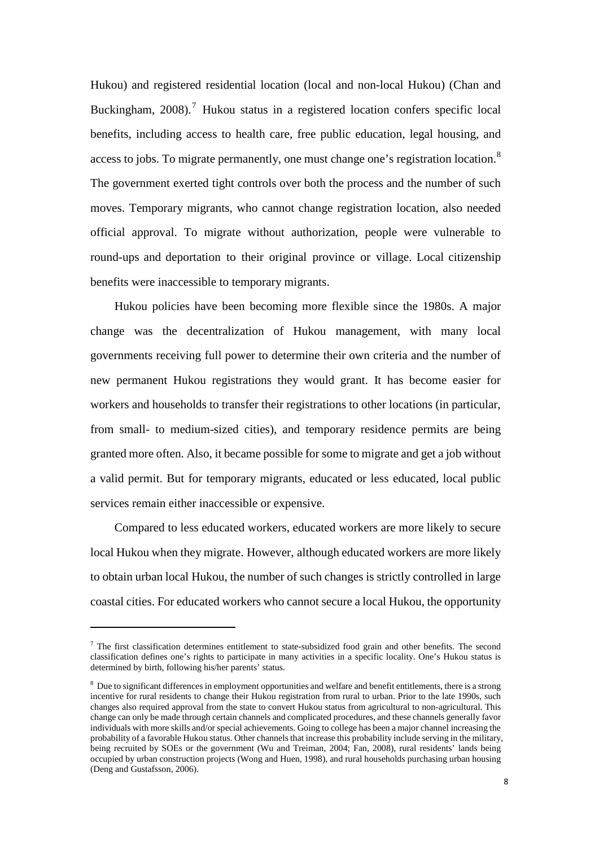Hukou) and registered residential location (local and non-local Hukou) (Chan and Buckingham, 2008).<sup>[7](#page-7-1)</sup> Hukou status in a registered location confers specific local benefits, including access to health care, free public education, legal housing, and access to jobs. To migrate permanently, one must change one's registration location.<sup>[8](#page-8-0)</sup> The government exerted tight controls over both the process and the number of such moves. Temporary migrants, who cannot change registration location, also needed official approval. To migrate without authorization, people were vulnerable to round-ups and deportation to their original province or village. Local citizenship benefits were inaccessible to temporary migrants.

Hukou policies have been becoming more flexible since the 1980s. A major change was the decentralization of Hukou management, with many local governments receiving full power to determine their own criteria and the number of new permanent Hukou registrations they would grant. It has become easier for workers and households to transfer their registrations to other locations (in particular, from small- to medium-sized cities), and temporary residence permits are being granted more often. Also, it became possible for some to migrate and get a job without a valid permit. But for temporary migrants, educated or less educated, local public services remain either inaccessible or expensive.

Compared to less educated workers, educated workers are more likely to secure local Hukou when they migrate. However, although educated workers are more likely to obtain urban local Hukou, the number of such changes is strictly controlled in large coastal cities. For educated workers who cannot secure a local Hukou, the opportunity

 $\overline{a}$ 

<sup>&</sup>lt;sup>7</sup> The first classification determines entitlement to state-subsidized food grain and other benefits. The second classification defines one's rights to participate in many activities in a specific locality. One's Hukou status is determined by birth, following his/her parents' status.

<span id="page-8-1"></span><span id="page-8-0"></span><sup>&</sup>lt;sup>8</sup> Due to significant differences in employment opportunities and welfare and benefit entitlements, there is a strong incentive for rural residents to change their Hukou registration from rural to urban. Prior to the late 1990s, such changes also required approval from the state to convert Hukou status from agricultural to non-agricultural. This change can only be made through certain channels and complicated procedures, and these channels generally favor individuals with more skills and/or special achievements. Going to college has been a major channel increasing the probability of a favorable Hukou status. Other channels that increase this probability include serving in the military, being recruited by SOEs or the government (Wu and Treiman, 2004; Fan, 2008), rural residents' lands being occupied by urban construction projects (Wong and Huen, 1998), and rural households purchasing urban housing (Deng and Gustafsson, 2006).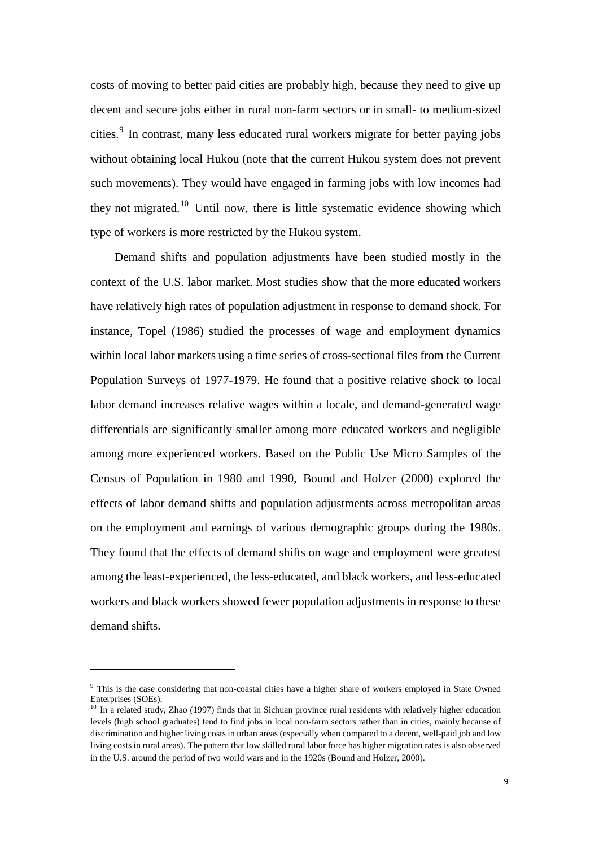costs of moving to better paid cities are probably high, because they need to give up decent and secure jobs either in rural non-farm sectors or in small- to medium-sized cities.<sup>[9](#page-8-1)</sup> In contrast, many less educated rural workers migrate for better paying jobs without obtaining local Hukou (note that the current Hukou system does not prevent such movements). They would have engaged in farming jobs with low incomes had they not migrated.<sup>[10](#page-9-0)</sup> Until now, there is little systematic evidence showing which type of workers is more restricted by the Hukou system.

Demand shifts and population adjustments have been studied mostly in the context of the U.S. labor market. Most studies show that the more educated workers have relatively high rates of population adjustment in response to demand shock. For instance, Topel (1986) studied the processes of wage and employment dynamics within local labor markets using a time series of cross-sectional files from the Current Population Surveys of 1977-1979. He found that a positive relative shock to local labor demand increases relative wages within a locale, and demand-generated wage differentials are significantly smaller among more educated workers and negligible among more experienced workers. Based on the Public Use Micro Samples of the Census of Population in 1980 and 1990, Bound and Holzer (2000) explored the effects of labor demand shifts and population adjustments across metropolitan areas on the employment and earnings of various demographic groups during the 1980s. They found that the effects of demand shifts on wage and employment were greatest among the least-experienced, the less-educated, and black workers, and less-educated workers and black workers showed fewer population adjustments in response to these demand shifts.

<span id="page-9-1"></span> $\overline{a}$ 

<sup>&</sup>lt;sup>9</sup> This is the case considering that non-coastal cities have a higher share of workers employed in State Owned Enterprises (SOEs).

<span id="page-9-0"></span><sup>&</sup>lt;sup>10</sup> In a related study, Zhao (1997) finds that in Sichuan province rural residents with relatively higher education levels (high school graduates) tend to find jobs in local non-farm sectors rather than in cities, mainly because of discrimination and higher living costs in urban areas (especially when compared to a decent, well-paid job and low living costs in rural areas). The pattern that low skilled rural labor force has higher migration rates is also observed in the U.S. around the period of two world wars and in the 1920s (Bound and Holzer, 2000).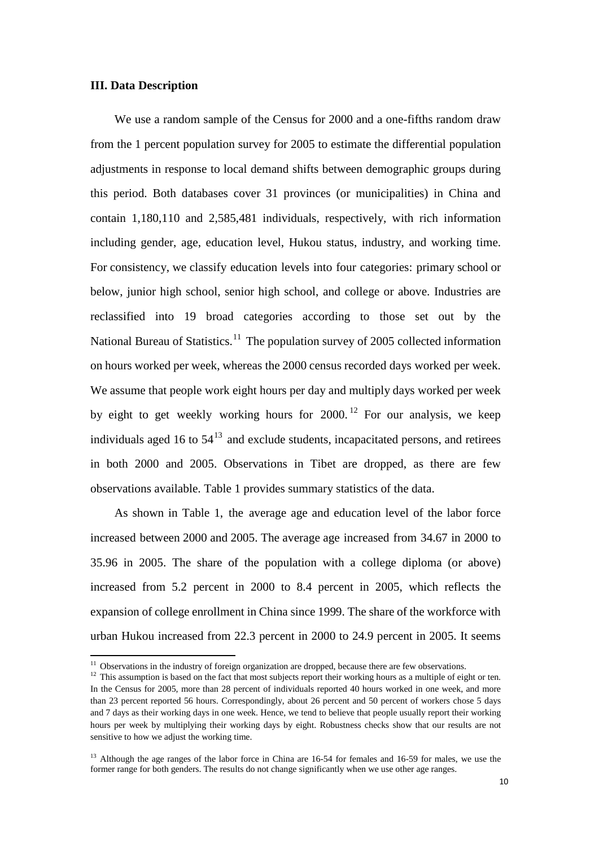#### **III. Data Description**

We use a random sample of the Census for 2000 and a one-fifths random draw from the 1 percent population survey for 2005 to estimate the differential population adjustments in response to local demand shifts between demographic groups during this period. Both databases cover 31 provinces (or municipalities) in China and contain 1,180,110 and 2,585,481 individuals, respectively, with rich information including gender, age, education level, Hukou status, industry, and working time. For consistency, we classify education levels into four categories: primary school or below, junior high school, senior high school, and college or above. Industries are reclassified into 19 broad categories according to those set out by the National Bureau of Statistics.<sup>[11](#page-9-1)</sup> The population survey of 2005 collected information on hours worked per week, whereas the 2000 census recorded days worked per week. We assume that people work eight hours per day and multiply days worked per week by eight to get weekly working hours for  $2000$ ,  $12$  For our analysis, we keep individuals aged 16 to  $54^{13}$  $54^{13}$  $54^{13}$  and exclude students, incapacitated persons, and retirees in both 2000 and 2005. Observations in Tibet are dropped, as there are few observations available. [Table 1](#page-26-0) provides summary statistics of the data.

As shown in [Table 1,](#page-26-0) the average age and education level of the labor force increased between 2000 and 2005. The average age increased from 34.67 in 2000 to 35.96 in 2005. The share of the population with a college diploma (or above) increased from 5.2 percent in 2000 to 8.4 percent in 2005, which reflects the expansion of college enrollment in China since 1999. The share of the workforce with urban Hukou increased from 22.3 percent in 2000 to 24.9 percent in 2005. It seems

<span id="page-10-0"></span><sup>&</sup>lt;sup>11</sup> Observations in the industry of foreign organization are dropped, because there are few observations. <sup>12</sup> This assumption is based on the fact that most subjects report their working hours as a multiple of eight or In the Census for 2005, more than 28 percent of individuals reported 40 hours worked in one week, and more than 23 percent reported 56 hours. Correspondingly, about 26 percent and 50 percent of workers chose 5 days and 7 days as their working days in one week. Hence, we tend to believe that people usually report their working hours per week by multiplying their working days by eight. Robustness checks show that our results are not sensitive to how we adjust the working time.

<span id="page-10-2"></span><span id="page-10-1"></span><sup>&</sup>lt;sup>13</sup> Although the age ranges of the labor force in China are 16-54 for females and 16-59 for males, we use the former range for both genders. The results do not change significantly when we use other age ranges.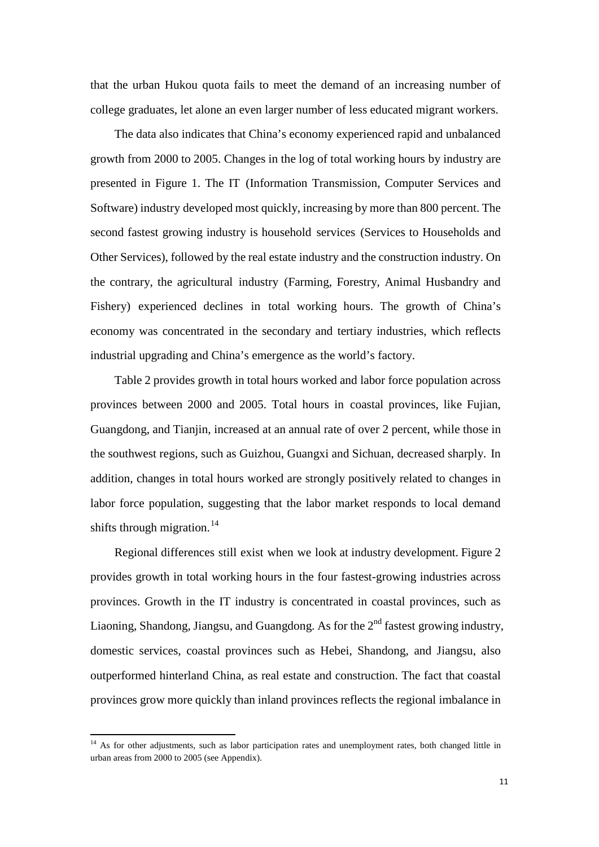that the urban Hukou quota fails to meet the demand of an increasing number of college graduates, let alone an even larger number of less educated migrant workers.

The data also indicates that China's economy experienced rapid and unbalanced growth from 2000 to 2005. Changes in the log of total working hours by industry are presented in [Figure 1.](#page-39-0) The IT (Information Transmission, Computer Services and Software) industry developed most quickly, increasing by more than 800 percent. The second fastest growing industry is household services (Services to Households and Other Services), followed by the real estate industry and the construction industry. On the contrary, the agricultural industry (Farming, Forestry, Animal Husbandry and Fishery) experienced declines in total working hours. The growth of China's economy was concentrated in the secondary and tertiary industries, which reflects industrial upgrading and China's emergence as the world's factory.

[Table 2](#page-28-0) provides growth in total hours worked and labor force population across provinces between 2000 and 2005. Total hours in coastal provinces, like Fujian, Guangdong, and Tianjin, increased at an annual rate of over 2 percent, while those in the southwest regions, such as Guizhou, Guangxi and Sichuan, decreased sharply. In addition, changes in total hours worked are strongly positively related to changes in labor force population, suggesting that the labor market responds to local demand shifts through migration.<sup>[14](#page-10-2)</sup>

Regional differences still exist when we look at industry development. [Figure 2](#page-40-0) provides growth in total working hours in the four fastest-growing industries across provinces. Growth in the IT industry is concentrated in coastal provinces, such as Liaoning, Shandong, Jiangsu, and Guangdong. As for the  $2<sup>nd</sup>$  fastest growing industry, domestic services, coastal provinces such as Hebei, Shandong, and Jiangsu, also outperformed hinterland China, as real estate and construction. The fact that coastal provinces grow more quickly than inland provinces reflects the regional imbalance in

<span id="page-11-0"></span><sup>&</sup>lt;sup>14</sup> As for other adjustments, such as labor participation rates and unemployment rates, both changed little in urban areas from 2000 to 2005 (see Appendix).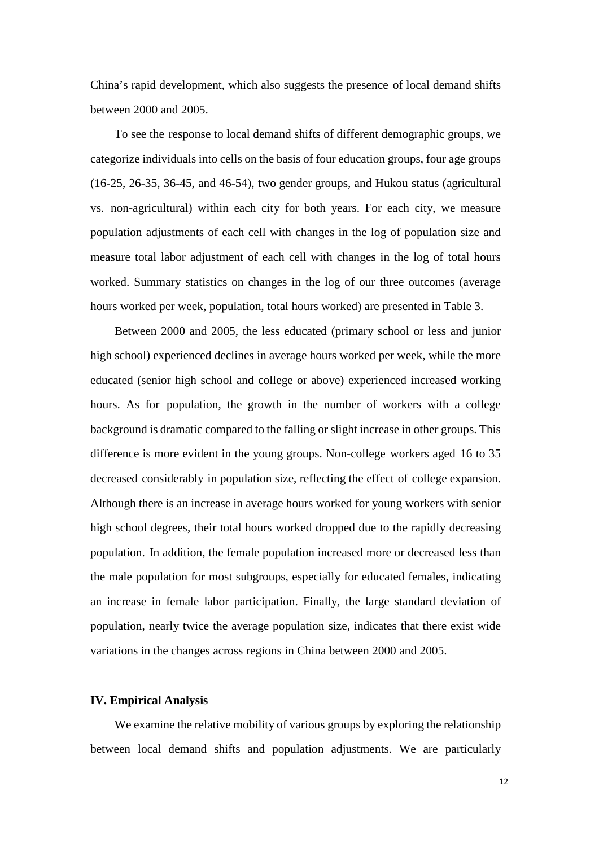China's rapid development, which also suggests the presence of local demand shifts between 2000 and 2005.

To see the response to local demand shifts of different demographic groups, we categorize individuals into cells on the basis of four education groups, four age groups (16-25, 26-35, 36-45, and 46-54), two gender groups, and Hukou status (agricultural vs. non-agricultural) within each city for both years. For each city, we measure population adjustments of each cell with changes in the log of population size and measure total labor adjustment of each cell with changes in the log of total hours worked. Summary statistics on changes in the log of our three outcomes (average hours worked per week, population, total hours worked) are presented in [Table 3.](#page-29-0)

Between 2000 and 2005, the less educated (primary school or less and junior high school) experienced declines in average hours worked per week, while the more educated (senior high school and college or above) experienced increased working hours. As for population, the growth in the number of workers with a college background is dramatic compared to the falling or slight increase in other groups. This difference is more evident in the young groups. Non-college workers aged 16 to 35 decreased considerably in population size, reflecting the effect of college expansion. Although there is an increase in average hours worked for young workers with senior high school degrees, their total hours worked dropped due to the rapidly decreasing population. In addition, the female population increased more or decreased less than the male population for most subgroups, especially for educated females, indicating an increase in female labor participation. Finally, the large standard deviation of population, nearly twice the average population size, indicates that there exist wide variations in the changes across regions in China between 2000 and 2005.

#### **IV. Empirical Analysis**

We examine the relative mobility of various groups by exploring the relationship between local demand shifts and population adjustments. We are particularly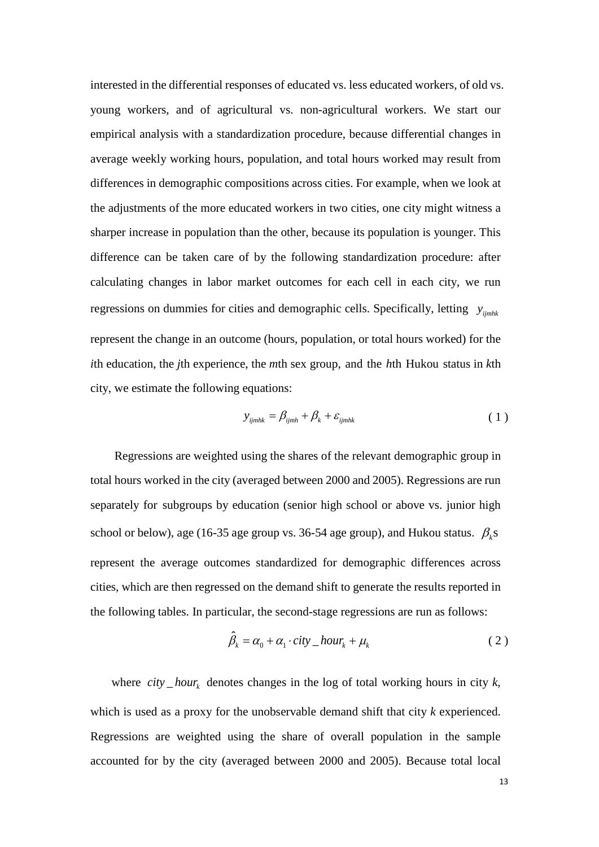interested in the differential responses of educated vs. less educated workers, of old vs. young workers, and of agricultural vs. non-agricultural workers. We start our empirical analysis with a standardization procedure, because differential changes in average weekly working hours, population, and total hours worked may result from differences in demographic compositions across cities. For example, when we look at the adjustments of the more educated workers in two cities, one city might witness a sharper increase in population than the other, because its population is younger. This difference can be taken care of by the following standardization procedure: after calculating changes in labor market outcomes for each cell in each city, we run regressions on dummies for cities and demographic cells. Specifically, letting  $y_{jimhk}$ represent the change in an outcome (hours, population, or total hours worked) for the *i*th education, the *j*th experience, the *m*th sex group, and the *h*th Hukou status in *k*th city, we estimate the following equations:

$$
y_{ijmhk} = \beta_{ijmh} + \beta_k + \varepsilon_{ijmhk}
$$
 (1)

Regressions are weighted using the shares of the relevant demographic group in total hours worked in the city (averaged between 2000 and 2005). Regressions are run separately for subgroups by education (senior high school or above vs. junior high school or below), age (16-35 age group vs. 36-54 age group), and Hukou status.  $\beta_k$ s represent the average outcomes standardized for demographic differences across cities, which are then regressed on the demand shift to generate the results reported in the following tables. In particular, the second-stage regressions are run as follows:

$$
\hat{\beta}_k = \alpha_0 + \alpha_1 \cdot \text{city}\_ \text{hour}_k + \mu_k \tag{2}
$$

where  $city_{n}$  denotes changes in the log of total working hours in city *k*, which is used as a proxy for the unobservable demand shift that city *k* experienced. Regressions are weighted using the share of overall population in the sample accounted for by the city (averaged between 2000 and 2005). Because total local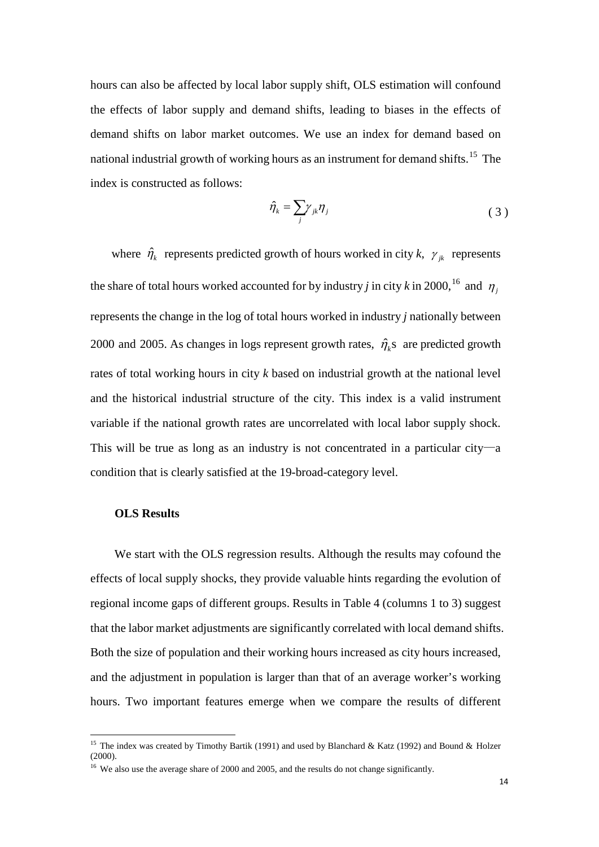hours can also be affected by local labor supply shift, OLS estimation will confound the effects of labor supply and demand shifts, leading to biases in the effects of demand shifts on labor market outcomes. We use an index for demand based on national industrial growth of working hours as an instrument for demand shifts.<sup>[15](#page-11-0)</sup> The index is constructed as follows:

$$
\hat{\eta}_k = \sum_j \gamma_{jk} \eta_j \tag{3}
$$

where  $\hat{\eta}_k$  represents predicted growth of hours worked in city *k*,  $\gamma_{ik}$  represents the share of total hours worked accounted for by industry *j* in city *k* in 2000,<sup>[16](#page-14-0)</sup> and  $\eta_j$ represents the change in the log of total hours worked in industry *j* nationally between 2000 and 2005. As changes in logs represent growth rates,  $\hat{\eta}_k$  are predicted growth rates of total working hours in city *k* based on industrial growth at the national level and the historical industrial structure of the city. This index is a valid instrument variable if the national growth rates are uncorrelated with local labor supply shock. This will be true as long as an industry is not concentrated in a particular city—a condition that is clearly satisfied at the 19-broad-category level.

#### **OLS Results**

We start with the OLS regression results. Although the results may cofound the effects of local supply shocks, they provide valuable hints regarding the evolution of regional income gaps of different groups. Results in [Table 4](#page-30-0) (columns 1 to 3) suggest that the labor market adjustments are significantly correlated with local demand shifts. Both the size of population and their working hours increased as city hours increased, and the adjustment in population is larger than that of an average worker's working hours. Two important features emerge when we compare the results of different

<span id="page-14-1"></span><sup>&</sup>lt;sup>15</sup> The index was created by Timothy Bartik (1991) and used by Blanchard & Katz (1992) and Bound & Holzer (2000).

<span id="page-14-0"></span><sup>&</sup>lt;sup>16</sup> We also use the average share of 2000 and 2005, and the results do not change significantly.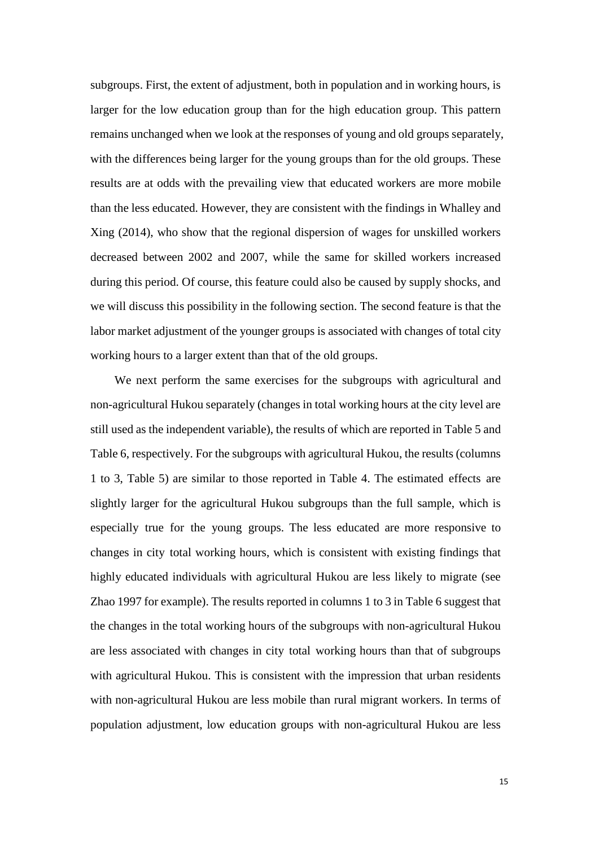subgroups. First, the extent of adjustment, both in population and in working hours, is larger for the low education group than for the high education group. This pattern remains unchanged when we look at the responses of young and old groups separately, with the differences being larger for the young groups than for the old groups. These results are at odds with the prevailing view that educated workers are more mobile than the less educated. However, they are consistent with the findings in Whalley and Xing (2014), who show that the regional dispersion of wages for unskilled workers decreased between 2002 and 2007, while the same for skilled workers increased during this period. Of course, this feature could also be caused by supply shocks, and we will discuss this possibility in the following section. The second feature is that the labor market adjustment of the younger groups is associated with changes of total city working hours to a larger extent than that of the old groups.

We next perform the same exercises for the subgroups with agricultural and non-agricultural Hukou separately (changes in total working hours at the city level are still used as the independent variable), the results of which are reported in [Table 5](#page-31-0) and [Table 6,](#page-32-0) respectively. For the subgroups with agricultural Hukou, the results (columns 1 to 3, [Table 5\)](#page-31-0) are similar to those reported in [Table 4.](#page-30-0) The estimated effects are slightly larger for the agricultural Hukou subgroups than the full sample, which is especially true for the young groups. The less educated are more responsive to changes in city total working hours, which is consistent with existing findings that highly educated individuals with agricultural Hukou are less likely to migrate (see Zhao 1997 for example). The results reported in columns 1 to 3 in [Table 6](#page-32-0) suggest that the changes in the total working hours of the subgroups with non-agricultural Hukou are less associated with changes in city total working hours than that of subgroups with agricultural Hukou. This is consistent with the impression that urban residents with non-agricultural Hukou are less mobile than rural migrant workers. In terms of population adjustment, low education groups with non-agricultural Hukou are less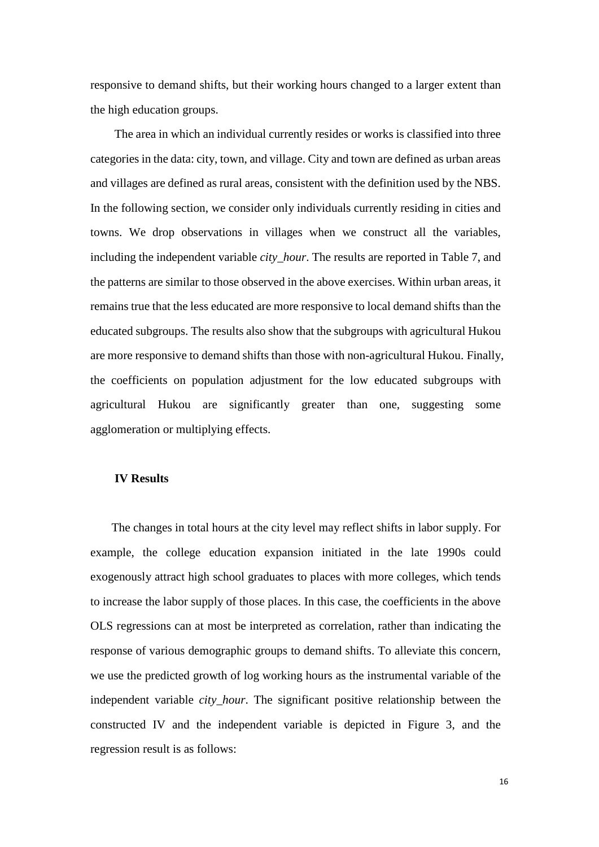responsive to demand shifts, but their working hours changed to a larger extent than the high education groups.

The area in which an individual currently resides or works is classified into three categories in the data: city, town, and village. City and town are defined as urban areas and villages are defined as rural areas, consistent with the definition used by the NBS. In the following section, we consider only individuals currently residing in cities and towns. We drop observations in villages when we construct all the variables, including the independent variable *city\_hour*. The results are reported in [Table 7,](#page-33-0) and the patterns are similar to those observed in the above exercises. Within urban areas, it remains true that the less educated are more responsive to local demand shifts than the educated subgroups. The results also show that the subgroups with agricultural Hukou are more responsive to demand shifts than those with non-agricultural Hukou. Finally, the coefficients on population adjustment for the low educated subgroups with agricultural Hukou are significantly greater than one, suggesting some agglomeration or multiplying effects.

#### **IV Results**

The changes in total hours at the city level may reflect shifts in labor supply. For example, the college education expansion initiated in the late 1990s could exogenously attract high school graduates to places with more colleges, which tends to increase the labor supply of those places. In this case, the coefficients in the above OLS regressions can at most be interpreted as correlation, rather than indicating the response of various demographic groups to demand shifts. To alleviate this concern, we use the predicted growth of log working hours as the instrumental variable of the independent variable *city\_hour*. The significant positive relationship between the constructed IV and the independent variable is depicted in [Figure 3,](#page-41-0) and the regression result is as follows: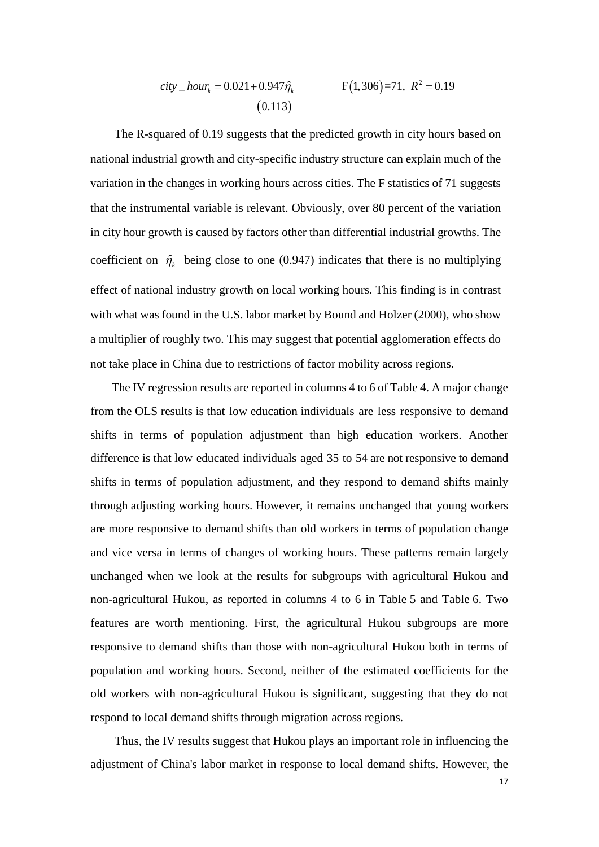$$
city_{-}hour_{k} = 0.021 + 0.947 \hat{\eta}_{k}
$$
\n
$$
F(1,306) = 71, R^{2} = 0.19
$$
\n
$$
(0.113)
$$

The R-squared of 0.19 suggests that the predicted growth in city hours based on national industrial growth and city-specific industry structure can explain much of the variation in the changes in working hours across cities. The F statistics of 71 suggests that the instrumental variable is relevant. Obviously, over 80 percent of the variation in city hour growth is caused by factors other than differential industrial growths. The coefficient on  $\hat{\eta}_k$  being close to one (0.947) indicates that there is no multiplying effect of national industry growth on local working hours. This finding is in contrast with what was found in the U.S. labor market by Bound and Holzer (2000), who show a multiplier of roughly two. This may suggest that potential agglomeration effects do not take place in China due to restrictions of factor mobility across regions.

The IV regression results are reported in columns 4 to 6 of [Table 4.](#page-30-0) A major change from the OLS results is that low education individuals are less responsive to demand shifts in terms of population adjustment than high education workers. Another difference is that low educated individuals aged 35 to 54 are not responsive to demand shifts in terms of population adjustment, and they respond to demand shifts mainly through adjusting working hours. However, it remains unchanged that young workers are more responsive to demand shifts than old workers in terms of population change and vice versa in terms of changes of working hours. These patterns remain largely unchanged when we look at the results for subgroups with agricultural Hukou and non-agricultural Hukou, as reported in columns 4 to 6 in [Table 5](#page-31-0) and [Table 6.](#page-32-0) Two features are worth mentioning. First, the agricultural Hukou subgroups are more responsive to demand shifts than those with non-agricultural Hukou both in terms of population and working hours. Second, neither of the estimated coefficients for the old workers with non-agricultural Hukou is significant, suggesting that they do not respond to local demand shifts through migration across regions.

Thus, the IV results suggest that Hukou plays an important role in influencing the adjustment of China's labor market in response to local demand shifts. However, the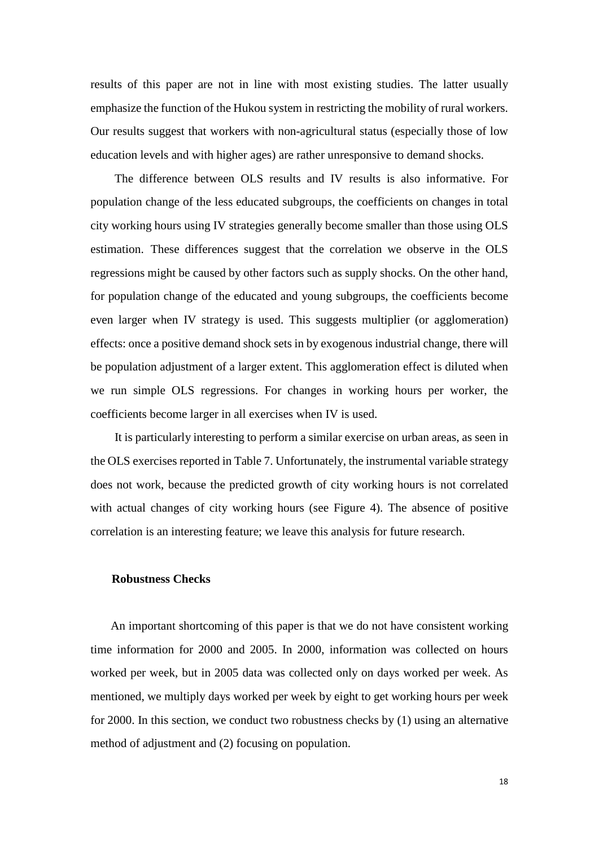results of this paper are not in line with most existing studies. The latter usually emphasize the function of the Hukou system in restricting the mobility of rural workers. Our results suggest that workers with non-agricultural status (especially those of low education levels and with higher ages) are rather unresponsive to demand shocks.

The difference between OLS results and IV results is also informative. For population change of the less educated subgroups, the coefficients on changes in total city working hours using IV strategies generally become smaller than those using OLS estimation. These differences suggest that the correlation we observe in the OLS regressions might be caused by other factors such as supply shocks. On the other hand, for population change of the educated and young subgroups, the coefficients become even larger when IV strategy is used. This suggests multiplier (or agglomeration) effects: once a positive demand shock sets in by exogenous industrial change, there will be population adjustment of a larger extent. This agglomeration effect is diluted when we run simple OLS regressions. For changes in working hours per worker, the coefficients become larger in all exercises when IV is used.

It is particularly interesting to perform a similar exercise on urban areas, as seen in the OLS exercises reported in [Table 7.](#page-33-0) Unfortunately, the instrumental variable strategy does not work, because the predicted growth of city working hours is not correlated with actual changes of city working hours (see [Figure 4\)](#page-41-1). The absence of positive correlation is an interesting feature; we leave this analysis for future research.

#### **Robustness Checks**

An important shortcoming of this paper is that we do not have consistent working time information for 2000 and 2005. In 2000, information was collected on hours worked per week, but in 2005 data was collected only on days worked per week. As mentioned, we multiply days worked per week by eight to get working hours per week for 2000. In this section, we conduct two robustness checks by (1) using an alternative method of adjustment and (2) focusing on population.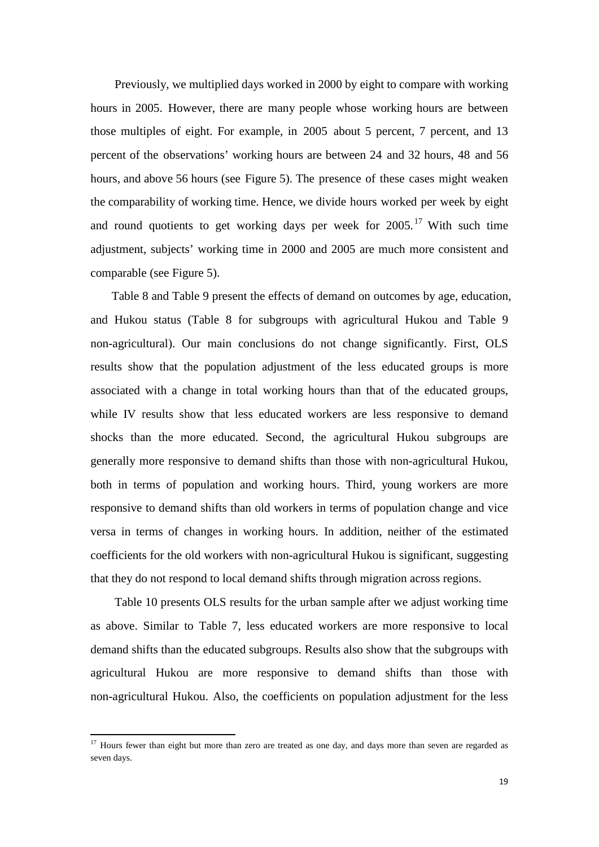Previously, we multiplied days worked in 2000 by eight to compare with working hours in 2005. However, there are many people whose working hours are between those multiples of eight. For example, in 2005 about 5 percent, 7 percent, and 13 percent of the observations' working hours are between 24 and 32 hours, 48 and 56 hours, and above 56 hours (see [Figure 5\)](#page-42-0). The presence of these cases might weaken the comparability of working time. Hence, we divide hours worked per week by eight and round quotients to get working days per week for  $2005$ .<sup>[17](#page-14-1)</sup> With such time adjustment, subjects' working time in 2000 and 2005 are much more consistent and comparable (see [Figure 5\)](#page-42-0).

[Table 8](#page-34-0) and [Table 9](#page-35-0) present the effects of demand on outcomes by age, education, and Hukou status [\(Table 8](#page-34-0) for subgroups with agricultural Hukou and [Table 9](#page-35-0) non-agricultural). Our main conclusions do not change significantly. First, OLS results show that the population adjustment of the less educated groups is more associated with a change in total working hours than that of the educated groups, while IV results show that less educated workers are less responsive to demand shocks than the more educated. Second, the agricultural Hukou subgroups are generally more responsive to demand shifts than those with non-agricultural Hukou, both in terms of population and working hours. Third, young workers are more responsive to demand shifts than old workers in terms of population change and vice versa in terms of changes in working hours. In addition, neither of the estimated coefficients for the old workers with non-agricultural Hukou is significant, suggesting that they do not respond to local demand shifts through migration across regions.

[Table 10](#page-36-0) presents OLS results for the urban sample after we adjust working time as above. Similar to [Table 7,](#page-33-0) less educated workers are more responsive to local demand shifts than the educated subgroups. Results also show that the subgroups with agricultural Hukou are more responsive to demand shifts than those with non-agricultural Hukou. Also, the coefficients on population adjustment for the less

<sup>&</sup>lt;sup>17</sup> Hours fewer than eight but more than zero are treated as one day, and days more than seven are regarded as seven days.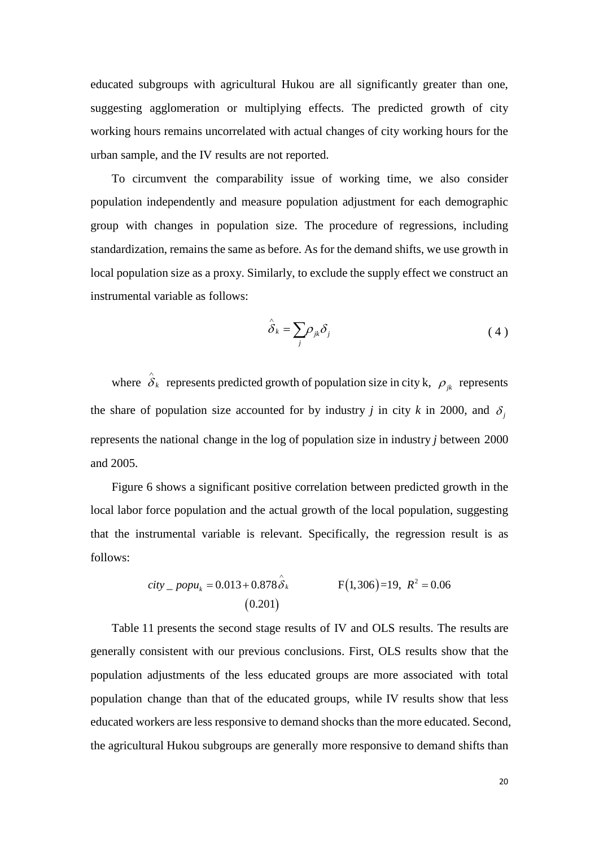educated subgroups with agricultural Hukou are all significantly greater than one, suggesting agglomeration or multiplying effects. The predicted growth of city working hours remains uncorrelated with actual changes of city working hours for the urban sample, and the IV results are not reported.

To circumvent the comparability issue of working time, we also consider population independently and measure population adjustment for each demographic group with changes in population size. The procedure of regressions, including standardization, remains the same as before. As for the demand shifts, we use growth in local population size as a proxy. Similarly, to exclude the supply effect we construct an instrumental variable as follows:

$$
\hat{\delta}_k = \sum_j \rho_{jk} \delta_j \tag{4}
$$

where  $\hat{\delta}_k$  represents predicted growth of population size in city k,  $\rho_{jk}$  represents the share of population size accounted for by industry *j* in city *k* in 2000, and  $\delta$ represents the national change in the log of population size in industry *j* between 2000 and 2005.

[Figure 6](#page-42-1) shows a significant positive correlation between predicted growth in the local labor force population and the actual growth of the local population, suggesting that the instrumental variable is relevant. Specifically, the regression result is as follows:

$$
city\_popu_k = 0.013 + 0.878 \hat{\delta}_k
$$
  
(0.201) F(1,306)=19, R<sup>2</sup> = 0.06

[Table 11](#page-37-0) presents the second stage results of IV and OLS results. The results are generally consistent with our previous conclusions. First, OLS results show that the population adjustments of the less educated groups are more associated with total population change than that of the educated groups, while IV results show that less educated workers are less responsive to demand shocks than the more educated. Second, the agricultural Hukou subgroups are generally more responsive to demand shifts than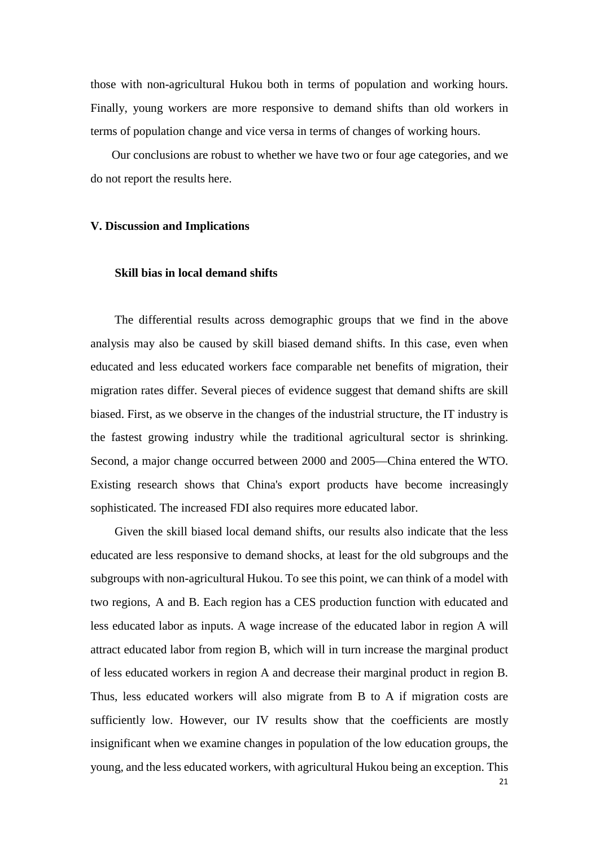those with non-agricultural Hukou both in terms of population and working hours. Finally, young workers are more responsive to demand shifts than old workers in terms of population change and vice versa in terms of changes of working hours.

Our conclusions are robust to whether we have two or four age categories, and we do not report the results here.

#### **V. Discussion and Implications**

#### **Skill bias in local demand shifts**

The differential results across demographic groups that we find in the above analysis may also be caused by skill biased demand shifts. In this case, even when educated and less educated workers face comparable net benefits of migration, their migration rates differ. Several pieces of evidence suggest that demand shifts are skill biased. First, as we observe in the changes of the industrial structure, the IT industry is the fastest growing industry while the traditional agricultural sector is shrinking. Second, a major change occurred between 2000 and 2005—China entered the WTO. Existing research shows that China's export products have become increasingly sophisticated. The increased FDI also requires more educated labor.

Given the skill biased local demand shifts, our results also indicate that the less educated are less responsive to demand shocks, at least for the old subgroups and the subgroups with non-agricultural Hukou. To see this point, we can think of a model with two regions, A and B. Each region has a CES production function with educated and less educated labor as inputs. A wage increase of the educated labor in region A will attract educated labor from region B, which will in turn increase the marginal product of less educated workers in region A and decrease their marginal product in region B. Thus, less educated workers will also migrate from B to A if migration costs are sufficiently low. However, our IV results show that the coefficients are mostly insignificant when we examine changes in population of the low education groups, the young, and the less educated workers, with agricultural Hukou being an exception. This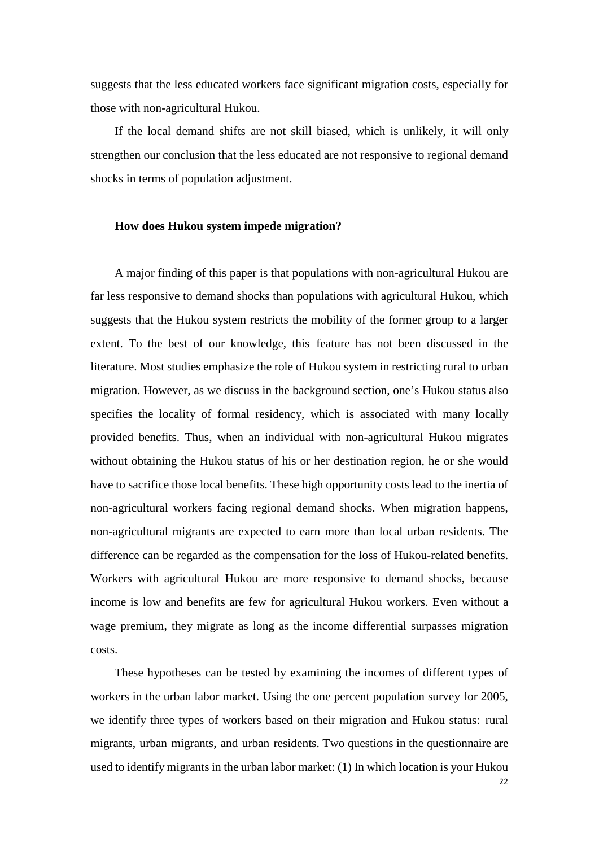suggests that the less educated workers face significant migration costs, especially for those with non-agricultural Hukou.

If the local demand shifts are not skill biased, which is unlikely, it will only strengthen our conclusion that the less educated are not responsive to regional demand shocks in terms of population adjustment.

#### **How does Hukou system impede migration?**

A major finding of this paper is that populations with non-agricultural Hukou are far less responsive to demand shocks than populations with agricultural Hukou, which suggests that the Hukou system restricts the mobility of the former group to a larger extent. To the best of our knowledge, this feature has not been discussed in the literature. Most studies emphasize the role of Hukou system in restricting rural to urban migration. However, as we discuss in the background section, one's Hukou status also specifies the locality of formal residency, which is associated with many locally provided benefits. Thus, when an individual with non-agricultural Hukou migrates without obtaining the Hukou status of his or her destination region, he or she would have to sacrifice those local benefits. These high opportunity costs lead to the inertia of non-agricultural workers facing regional demand shocks. When migration happens, non-agricultural migrants are expected to earn more than local urban residents. The difference can be regarded as the compensation for the loss of Hukou-related benefits. Workers with agricultural Hukou are more responsive to demand shocks, because income is low and benefits are few for agricultural Hukou workers. Even without a wage premium, they migrate as long as the income differential surpasses migration costs.

These hypotheses can be tested by examining the incomes of different types of workers in the urban labor market. Using the one percent population survey for 2005, we identify three types of workers based on their migration and Hukou status: rural migrants, urban migrants, and urban residents. Two questions in the questionnaire are used to identify migrants in the urban labor market: (1) In which location is your Hukou

22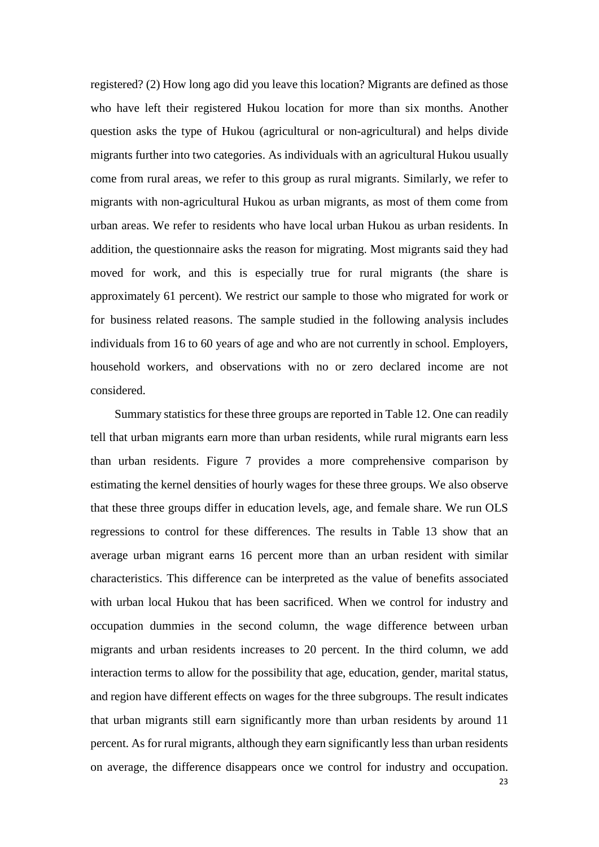registered? (2) How long ago did you leave this location? Migrants are defined as those who have left their registered Hukou location for more than six months. Another question asks the type of Hukou (agricultural or non-agricultural) and helps divide migrants further into two categories. As individuals with an agricultural Hukou usually come from rural areas, we refer to this group as rural migrants. Similarly, we refer to migrants with non-agricultural Hukou as urban migrants, as most of them come from urban areas. We refer to residents who have local urban Hukou as urban residents. In addition, the questionnaire asks the reason for migrating. Most migrants said they had moved for work, and this is especially true for rural migrants (the share is approximately 61 percent). We restrict our sample to those who migrated for work or for business related reasons. The sample studied in the following analysis includes individuals from 16 to 60 years of age and who are not currently in school. Employers, household workers, and observations with no or zero declared income are not considered.

Summary statistics for these three groups are reported in [Table 12.](#page-38-0) One can readily tell that urban migrants earn more than urban residents, while rural migrants earn less than urban residents. [Figure 7](#page-43-0) provides a more comprehensive comparison by estimating the kernel densities of hourly wages for these three groups. We also observe that these three groups differ in education levels, age, and female share. We run OLS regressions to control for these differences. The results in [Table 13](#page-38-1) show that an average urban migrant earns 16 percent more than an urban resident with similar characteristics. This difference can be interpreted as the value of benefits associated with urban local Hukou that has been sacrificed. When we control for industry and occupation dummies in the second column, the wage difference between urban migrants and urban residents increases to 20 percent. In the third column, we add interaction terms to allow for the possibility that age, education, gender, marital status, and region have different effects on wages for the three subgroups. The result indicates that urban migrants still earn significantly more than urban residents by around 11 percent. As for rural migrants, although they earn significantly less than urban residents on average, the difference disappears once we control for industry and occupation.

23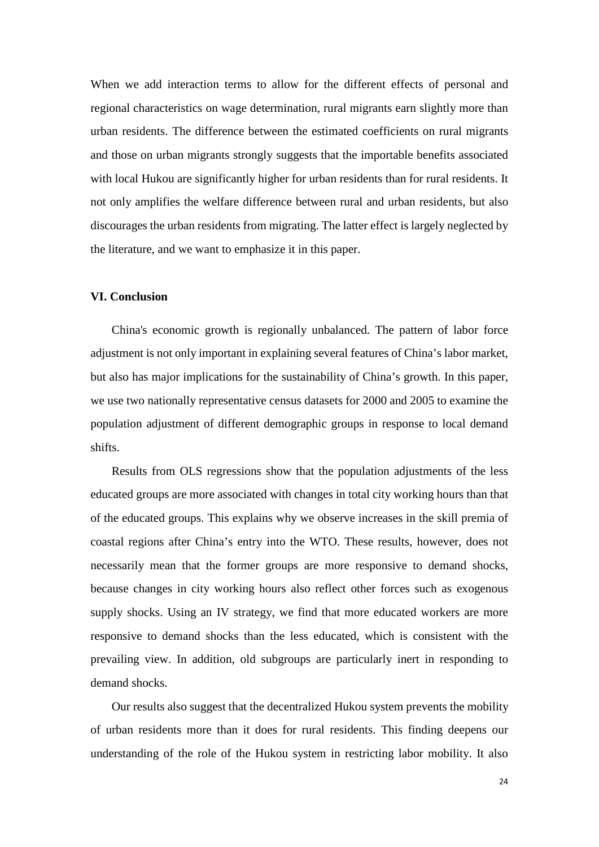When we add interaction terms to allow for the different effects of personal and regional characteristics on wage determination, rural migrants earn slightly more than urban residents. The difference between the estimated coefficients on rural migrants and those on urban migrants strongly suggests that the importable benefits associated with local Hukou are significantly higher for urban residents than for rural residents. It not only amplifies the welfare difference between rural and urban residents, but also discourages the urban residents from migrating. The latter effect is largely neglected by the literature, and we want to emphasize it in this paper.

#### **VI. Conclusion**

China's economic growth is regionally unbalanced. The pattern of labor force adjustment is not only important in explaining several features of China's labor market, but also has major implications for the sustainability of China's growth. In this paper, we use two nationally representative census datasets for 2000 and 2005 to examine the population adjustment of different demographic groups in response to local demand shifts.

Results from OLS regressions show that the population adjustments of the less educated groups are more associated with changes in total city working hours than that of the educated groups. This explains why we observe increases in the skill premia of coastal regions after China's entry into the WTO. These results, however, does not necessarily mean that the former groups are more responsive to demand shocks, because changes in city working hours also reflect other forces such as exogenous supply shocks. Using an IV strategy, we find that more educated workers are more responsive to demand shocks than the less educated, which is consistent with the prevailing view. In addition, old subgroups are particularly inert in responding to demand shocks.

Our results also suggest that the decentralized Hukou system prevents the mobility of urban residents more than it does for rural residents. This finding deepens our understanding of the role of the Hukou system in restricting labor mobility. It also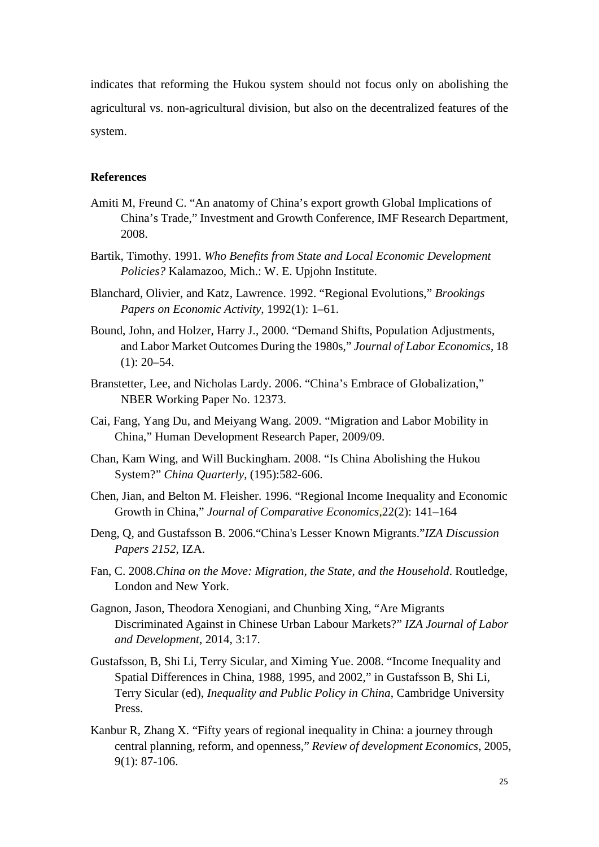indicates that reforming the Hukou system should not focus only on abolishing the agricultural vs. non-agricultural division, but also on the decentralized features of the system.

#### **References**

- Amiti M, Freund C. "An anatomy of China's export growth Global Implications of China's Trade," Investment and Growth Conference, IMF Research Department, 2008.
- Bartik, Timothy. 1991. *Who Benefits from State and Local Economic Development Policies?* Kalamazoo, Mich.: W. E. Upjohn Institute.
- Blanchard, Olivier, and Katz, Lawrence. 1992. "Regional Evolutions," *Brookings Papers on Economic Activity*, 1992(1): 1–61.
- Bound, John, and Holzer, Harry J., 2000. "Demand Shifts, Population Adjustments, and Labor Market Outcomes During the 1980s," *Journal of Labor Economics*, 18  $(1): 20 - 54.$
- Branstetter, Lee, and Nicholas Lardy. 2006. "China's Embrace of Globalization," NBER Working Paper No. 12373.
- Cai, Fang, Yang Du, and Meiyang Wang. 2009. "Migration and Labor Mobility in China," Human Development Research Paper, 2009/09.
- Chan, Kam Wing, and Will Buckingham. 2008. "Is China Abolishing the Hukou System?" *China Quarterly*, (195):582-606.
- Chen, Jian, and Belton M. Fleisher. 1996. "Regional Income Inequality and Economic Growth in China," *Journal of Comparative Economics*,22(2): 141–164
- Deng, Q, and Gustafsson B. 2006."China's Lesser Known Migrants."*IZA Discussion Papers 2152*, IZA.
- Fan, C. 2008.*China on the Move: Migration, the State, and the Household*. Routledge, London and New York.
- Gagnon, Jason, Theodora Xenogiani, and Chunbing Xing, "Are Migrants Discriminated Against in Chinese Urban Labour Markets?" *IZA Journal of Labor and Development*, 2014, 3:17.
- Gustafsson, B, Shi Li, Terry Sicular, and Ximing Yue. 2008. "Income Inequality and Spatial Differences in China, 1988, 1995, and 2002," in Gustafsson B, Shi Li, Terry Sicular (ed), *Inequality and Public Policy in China*, Cambridge University Press.
- Kanbur R, Zhang X. "Fifty years of regional inequality in China: a journey through central planning, reform, and openness," *Review of development Economics*, 2005, 9(1): 87-106.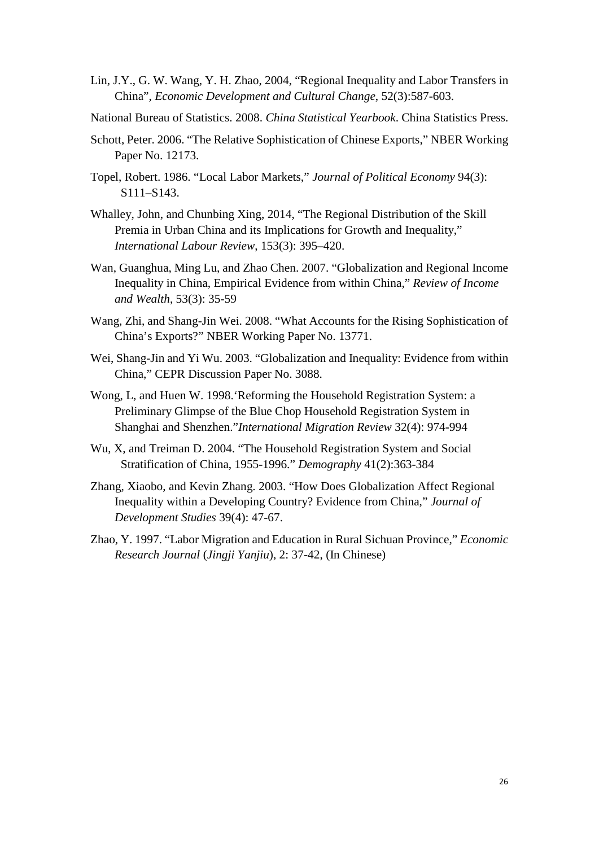- Lin, J.Y., G. W. Wang, Y. H. Zhao, 2004, "Regional Inequality and Labor Transfers in China", *Economic Development and Cultural Change*, 52(3):587-603.
- National Bureau of Statistics. 2008. *China Statistical Yearbook*. China Statistics Press.
- Schott, Peter. 2006. "The Relative Sophistication of Chinese Exports," NBER Working Paper No. 12173.
- Topel, Robert. 1986. "Local Labor Markets," *Journal of Political Economy* 94(3): S111–S143.
- Whalley, John, and Chunbing Xing, 2014, "The Regional Distribution of the Skill Premia in Urban China and its Implications for Growth and Inequality," *International Labour Review*, 153(3): 395–420.
- Wan, Guanghua, Ming Lu, and Zhao Chen. 2007. "Globalization and Regional Income Inequality in China, Empirical Evidence from within China," *Review of Income and Wealth*, 53(3): 35-59
- Wang, Zhi, and Shang-Jin Wei. 2008. "What Accounts for the Rising Sophistication of China's Exports?" NBER Working Paper No. 13771.
- Wei, Shang-Jin and Yi Wu. 2003. "Globalization and Inequality: Evidence from within China," CEPR Discussion Paper No. 3088.
- Wong, L, and Huen W. 1998.'Reforming the Household Registration System: a Preliminary Glimpse of the Blue Chop Household Registration System in Shanghai and Shenzhen."*International Migration Review* 32(4): 974-994
- Wu, X, and Treiman D. 2004. "The Household Registration System and Social Stratification of China, 1955-1996." *Demography* 41(2):363-384
- Zhang, Xiaobo, and Kevin Zhang. 2003. "How Does Globalization Affect Regional Inequality within a Developing Country? Evidence from China," *Journal of Development Studies* 39(4): 47-67.
- <span id="page-26-0"></span>Zhao, Y. 1997. "Labor Migration and Education in Rural Sichuan Province," *Economic Research Journal* (*Jingji Yanjiu*), 2: 37-42, (In Chinese)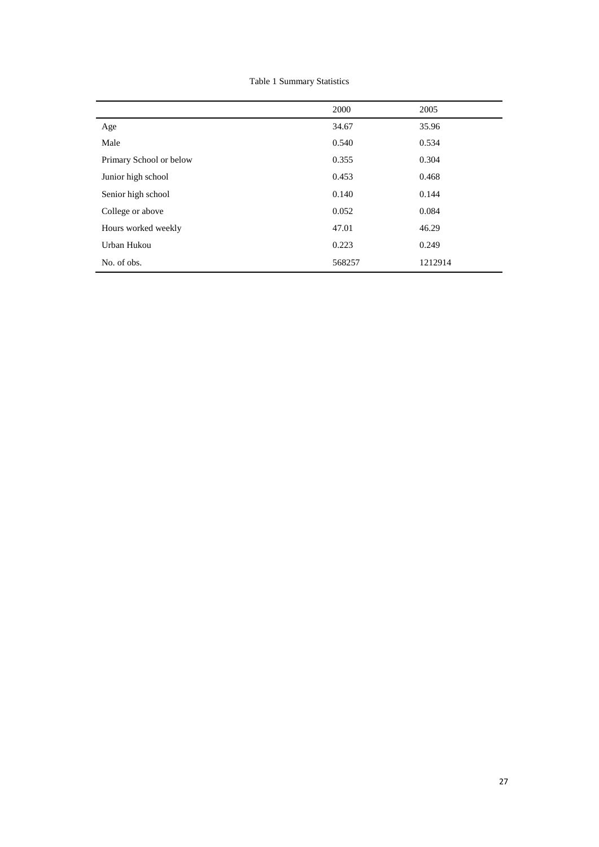Table 1 Summary Statistics

|                         | 2000   | 2005    |
|-------------------------|--------|---------|
| Age                     | 34.67  | 35.96   |
| Male                    | 0.540  | 0.534   |
| Primary School or below | 0.355  | 0.304   |
| Junior high school      | 0.453  | 0.468   |
| Senior high school      | 0.140  | 0.144   |
| College or above        | 0.052  | 0.084   |
| Hours worked weekly     | 47.01  | 46.29   |
| Urban Hukou             | 0.223  | 0.249   |
| No. of obs.             | 568257 | 1212914 |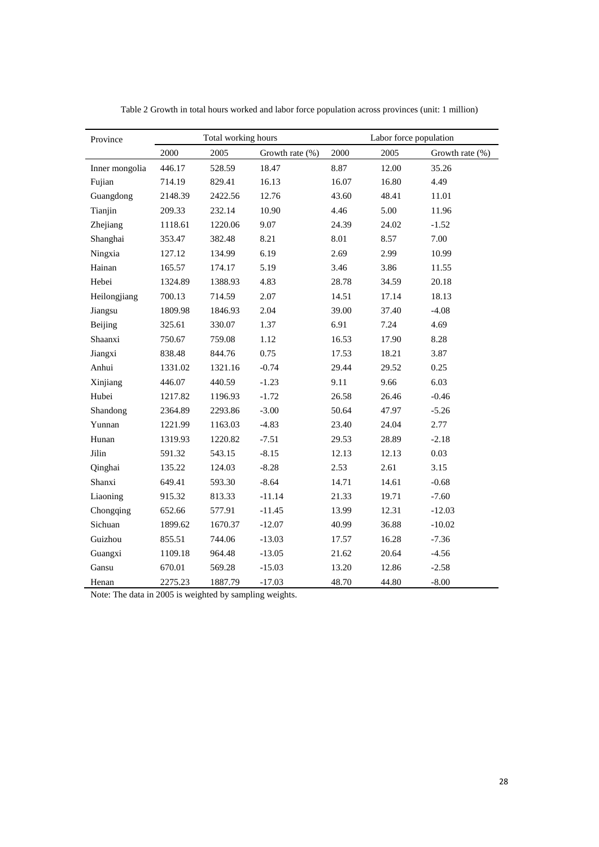<span id="page-28-0"></span>

| Province       |         | Total working hours |                 |       | Labor force population |                 |
|----------------|---------|---------------------|-----------------|-------|------------------------|-----------------|
|                | 2000    | 2005                | Growth rate (%) | 2000  | 2005                   | Growth rate (%) |
| Inner mongolia | 446.17  | 528.59              | 18.47           | 8.87  | 12.00                  | 35.26           |
| Fujian         | 714.19  | 829.41              | 16.13           | 16.07 | 16.80                  | 4.49            |
| Guangdong      | 2148.39 | 2422.56             | 12.76           | 43.60 | 48.41                  | 11.01           |
| Tianjin        | 209.33  | 232.14              | 10.90           | 4.46  | 5.00                   | 11.96           |
| Zhejiang       | 1118.61 | 1220.06             | 9.07            | 24.39 | 24.02                  | $-1.52$         |
| Shanghai       | 353.47  | 382.48              | 8.21            | 8.01  | 8.57                   | 7.00            |
| Ningxia        | 127.12  | 134.99              | 6.19            | 2.69  | 2.99                   | 10.99           |
| Hainan         | 165.57  | 174.17              | 5.19            | 3.46  | 3.86                   | 11.55           |
| Hebei          | 1324.89 | 1388.93             | 4.83            | 28.78 | 34.59                  | 20.18           |
| Heilongjiang   | 700.13  | 714.59              | 2.07            | 14.51 | 17.14                  | 18.13           |
| Jiangsu        | 1809.98 | 1846.93             | 2.04            | 39.00 | 37.40                  | $-4.08$         |
| Beijing        | 325.61  | 330.07              | 1.37            | 6.91  | 7.24                   | 4.69            |
| Shaanxi        | 750.67  | 759.08              | 1.12            | 16.53 | 17.90                  | 8.28            |
| Jiangxi        | 838.48  | 844.76              | 0.75            | 17.53 | 18.21                  | 3.87            |
| Anhui          | 1331.02 | 1321.16             | $-0.74$         | 29.44 | 29.52                  | 0.25            |
| Xinjiang       | 446.07  | 440.59              | $-1.23$         | 9.11  | 9.66                   | 6.03            |
| Hubei          | 1217.82 | 1196.93             | $-1.72$         | 26.58 | 26.46                  | $-0.46$         |
| Shandong       | 2364.89 | 2293.86             | $-3.00$         | 50.64 | 47.97                  | $-5.26$         |
| Yunnan         | 1221.99 | 1163.03             | $-4.83$         | 23.40 | 24.04                  | 2.77            |
| Hunan          | 1319.93 | 1220.82             | $-7.51$         | 29.53 | 28.89                  | $-2.18$         |
| Jilin          | 591.32  | 543.15              | $-8.15$         | 12.13 | 12.13                  | 0.03            |
| Qinghai        | 135.22  | 124.03              | $-8.28$         | 2.53  | 2.61                   | 3.15            |
| Shanxi         | 649.41  | 593.30              | $-8.64$         | 14.71 | 14.61                  | $-0.68$         |
| Liaoning       | 915.32  | 813.33              | $-11.14$        | 21.33 | 19.71                  | $-7.60$         |
| Chongqing      | 652.66  | 577.91              | $-11.45$        | 13.99 | 12.31                  | $-12.03$        |
| Sichuan        | 1899.62 | 1670.37             | $-12.07$        | 40.99 | 36.88                  | $-10.02$        |
| Guizhou        | 855.51  | 744.06              | $-13.03$        | 17.57 | 16.28                  | $-7.36$         |
| Guangxi        | 1109.18 | 964.48              | $-13.05$        | 21.62 | 20.64                  | $-4.56$         |
| Gansu          | 670.01  | 569.28              | $-15.03$        | 13.20 | 12.86                  | $-2.58$         |
| Henan          | 2275.23 | 1887.79             | $-17.03$        | 48.70 | 44.80                  | $-8.00$         |

Table 2 Growth in total hours worked and labor force population across provinces (unit: 1 million)

Note: The data in 2005 is weighted by sampling weights.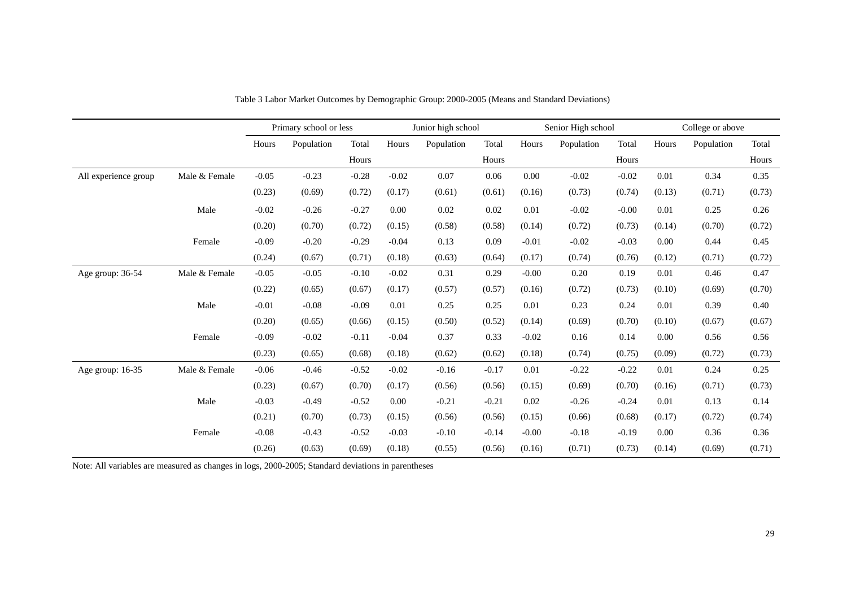|                      |               |         | Primary school or less |         |         | Junior high school |         |         | Senior High school |         | College or above |            |        |
|----------------------|---------------|---------|------------------------|---------|---------|--------------------|---------|---------|--------------------|---------|------------------|------------|--------|
|                      |               | Hours   | Population             | Total   | Hours   | Population         | Total   | Hours   | Population         | Total   | Hours            | Population | Total  |
|                      |               |         |                        | Hours   |         |                    | Hours   |         |                    | Hours   |                  |            | Hours  |
| All experience group | Male & Female | $-0.05$ | $-0.23$                | $-0.28$ | $-0.02$ | 0.07               | 0.06    | 0.00    | $-0.02$            | $-0.02$ | 0.01             | 0.34       | 0.35   |
|                      |               | (0.23)  | (0.69)                 | (0.72)  | (0.17)  | (0.61)             | (0.61)  | (0.16)  | (0.73)             | (0.74)  | (0.13)           | (0.71)     | (0.73) |
|                      | Male          | $-0.02$ | $-0.26$                | $-0.27$ | 0.00    | 0.02               | 0.02    | 0.01    | $-0.02$            | $-0.00$ | 0.01             | 0.25       | 0.26   |
|                      |               | (0.20)  | (0.70)                 | (0.72)  | (0.15)  | (0.58)             | (0.58)  | (0.14)  | (0.72)             | (0.73)  | (0.14)           | (0.70)     | (0.72) |
|                      | Female        | $-0.09$ | $-0.20$                | $-0.29$ | $-0.04$ | 0.13               | 0.09    | $-0.01$ | $-0.02$            | $-0.03$ | 0.00             | 0.44       | 0.45   |
|                      |               | (0.24)  | (0.67)                 | (0.71)  | (0.18)  | (0.63)             | (0.64)  | (0.17)  | (0.74)             | (0.76)  | (0.12)           | (0.71)     | (0.72) |
| Age group: 36-54     | Male & Female | $-0.05$ | $-0.05$                | $-0.10$ | $-0.02$ | 0.31               | 0.29    | $-0.00$ | 0.20               | 0.19    | 0.01             | 0.46       | 0.47   |
|                      |               | (0.22)  | (0.65)                 | (0.67)  | (0.17)  | (0.57)             | (0.57)  | (0.16)  | (0.72)             | (0.73)  | (0.10)           | (0.69)     | (0.70) |
|                      | Male          | $-0.01$ | $-0.08$                | $-0.09$ | 0.01    | 0.25               | 0.25    | 0.01    | 0.23               | 0.24    | 0.01             | 0.39       | 0.40   |
|                      |               | (0.20)  | (0.65)                 | (0.66)  | (0.15)  | (0.50)             | (0.52)  | (0.14)  | (0.69)             | (0.70)  | (0.10)           | (0.67)     | (0.67) |
|                      | Female        | $-0.09$ | $-0.02$                | $-0.11$ | $-0.04$ | 0.37               | 0.33    | $-0.02$ | 0.16               | 0.14    | 0.00             | 0.56       | 0.56   |
|                      |               | (0.23)  | (0.65)                 | (0.68)  | (0.18)  | (0.62)             | (0.62)  | (0.18)  | (0.74)             | (0.75)  | (0.09)           | (0.72)     | (0.73) |
| Age group: 16-35     | Male & Female | $-0.06$ | $-0.46$                | $-0.52$ | $-0.02$ | $-0.16$            | $-0.17$ | 0.01    | $-0.22$            | $-0.22$ | 0.01             | 0.24       | 0.25   |
|                      |               | (0.23)  | (0.67)                 | (0.70)  | (0.17)  | (0.56)             | (0.56)  | (0.15)  | (0.69)             | (0.70)  | (0.16)           | (0.71)     | (0.73) |
|                      | Male          | $-0.03$ | $-0.49$                | $-0.52$ | 0.00    | $-0.21$            | $-0.21$ | 0.02    | $-0.26$            | $-0.24$ | 0.01             | 0.13       | 0.14   |
|                      |               | (0.21)  | (0.70)                 | (0.73)  | (0.15)  | (0.56)             | (0.56)  | (0.15)  | (0.66)             | (0.68)  | (0.17)           | (0.72)     | (0.74) |
|                      | Female        | $-0.08$ | $-0.43$                | $-0.52$ | $-0.03$ | $-0.10$            | $-0.14$ | $-0.00$ | $-0.18$            | $-0.19$ | 0.00             | 0.36       | 0.36   |
|                      |               | (0.26)  | (0.63)                 | (0.69)  | (0.18)  | (0.55)             | (0.56)  | (0.16)  | (0.71)             | (0.73)  | (0.14)           | (0.69)     | (0.71) |

Table 3 Labor Market Outcomes by Demographic Group: 2000-2005 (Means and Standard Deviations)

<span id="page-29-0"></span>Note: All variables are measured as changes in logs, 2000-2005; Standard deviations in parentheses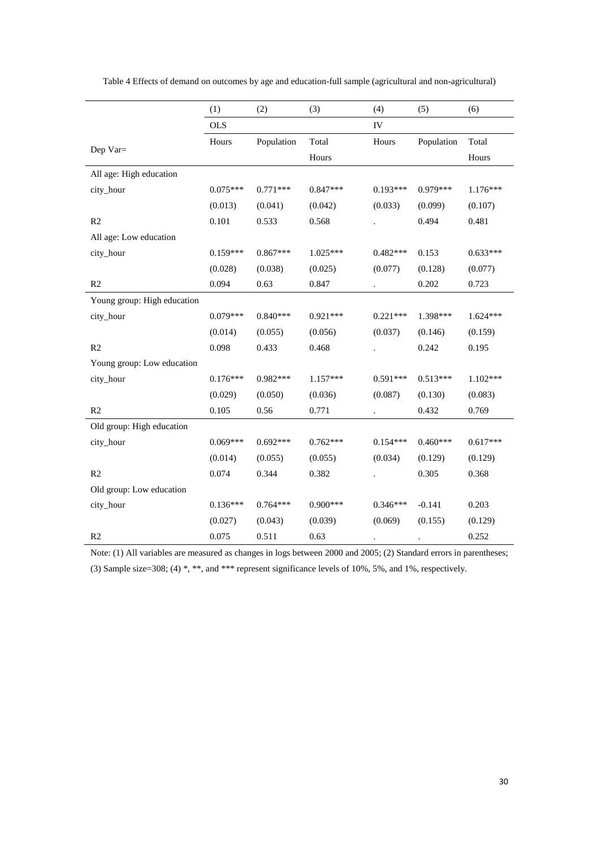|                             | (1)        | (2)        | (3)        | (4)        | (5)        | (6)        |
|-----------------------------|------------|------------|------------|------------|------------|------------|
|                             | <b>OLS</b> |            |            | IV         |            |            |
|                             | Hours      | Population | Total      | Hours      | Population | Total      |
| Dep Var=                    |            |            | Hours      |            |            | Hours      |
| All age: High education     |            |            |            |            |            |            |
| city_hour                   | $0.075***$ | $0.771***$ | $0.847***$ | $0.193***$ | $0.979***$ | $1.176***$ |
|                             | (0.013)    | (0.041)    | (0.042)    | (0.033)    | (0.099)    | (0.107)    |
| R2                          | 0.101      | 0.533      | 0.568      |            | 0.494      | 0.481      |
| All age: Low education      |            |            |            |            |            |            |
| city_hour                   | $0.159***$ | $0.867***$ | $1.025***$ | $0.482***$ | 0.153      | $0.633***$ |
|                             | (0.028)    | (0.038)    | (0.025)    | (0.077)    | (0.128)    | (0.077)    |
| R <sub>2</sub>              | 0.094      | 0.63       | 0.847      | $\cdot$    | 0.202      | 0.723      |
| Young group: High education |            |            |            |            |            |            |
| city_hour                   | $0.079***$ | $0.840***$ | $0.921***$ | $0.221***$ | 1.398***   | $1.624***$ |
|                             | (0.014)    | (0.055)    | (0.056)    | (0.037)    | (0.146)    | (0.159)    |
| R2                          | 0.098      | 0.433      | 0.468      |            | 0.242      | 0.195      |
| Young group: Low education  |            |            |            |            |            |            |
| city_hour                   | $0.176***$ | $0.982***$ | $1.157***$ | $0.591***$ | $0.513***$ | $1.102***$ |
|                             | (0.029)    | (0.050)    | (0.036)    | (0.087)    | (0.130)    | (0.083)    |
| R <sub>2</sub>              | 0.105      | 0.56       | 0.771      |            | 0.432      | 0.769      |
| Old group: High education   |            |            |            |            |            |            |
| city_hour                   | $0.069***$ | $0.692***$ | $0.762***$ | $0.154***$ | $0.460***$ | $0.617***$ |
|                             | (0.014)    | (0.055)    | (0.055)    | (0.034)    | (0.129)    | (0.129)    |
| R <sub>2</sub>              | 0.074      | 0.344      | 0.382      |            | 0.305      | 0.368      |
| Old group: Low education    |            |            |            |            |            |            |
| city_hour                   | $0.136***$ | $0.764***$ | $0.900***$ | $0.346***$ | $-0.141$   | 0.203      |
|                             | (0.027)    | (0.043)    | (0.039)    | (0.069)    | (0.155)    | (0.129)    |
| R <sub>2</sub>              | 0.075      | 0.511      | 0.63       |            |            | 0.252      |

<span id="page-30-0"></span>Table 4 Effects of demand on outcomes by age and education-full sample (agricultural and non-agricultural)

Note: (1) All variables are measured as changes in logs between 2000 and 2005; (2) Standard errors in parentheses;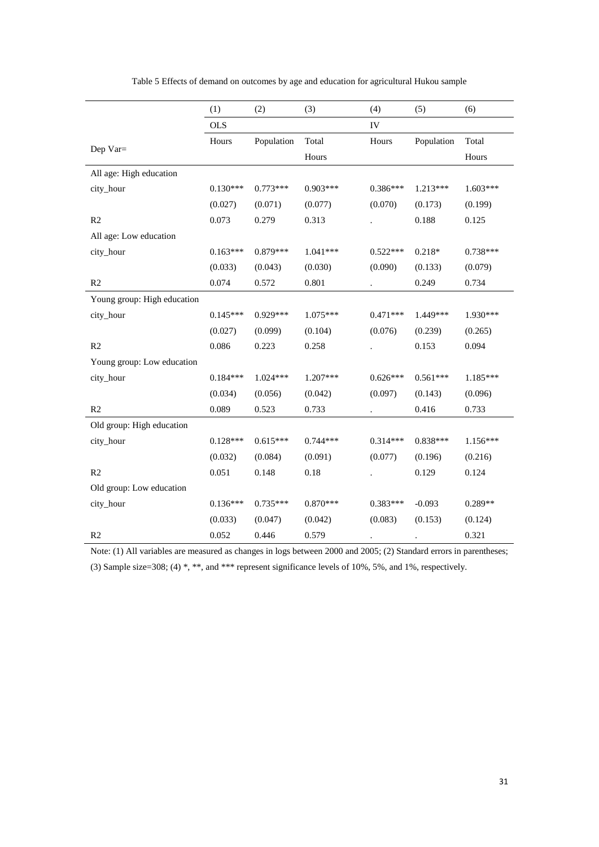<span id="page-31-0"></span>

|                             | (1)        | (2)        | (3)        | (4)        | (5)        | (6)        |
|-----------------------------|------------|------------|------------|------------|------------|------------|
|                             | <b>OLS</b> |            |            | IV         |            |            |
|                             | Hours      | Population | Total      | Hours      | Population | Total      |
| Dep $Var =$                 |            |            | Hours      |            |            | Hours      |
| All age: High education     |            |            |            |            |            |            |
| city_hour                   | $0.130***$ | $0.773***$ | $0.903***$ | $0.386***$ | $1.213***$ | 1.603***   |
|                             | (0.027)    | (0.071)    | (0.077)    | (0.070)    | (0.173)    | (0.199)    |
| R <sub>2</sub>              | 0.073      | 0.279      | 0.313      |            | 0.188      | 0.125      |
| All age: Low education      |            |            |            |            |            |            |
| city_hour                   | $0.163***$ | $0.879***$ | $1.041***$ | $0.522***$ | $0.218*$   | $0.738***$ |
|                             | (0.033)    | (0.043)    | (0.030)    | (0.090)    | (0.133)    | (0.079)    |
| R <sub>2</sub>              | 0.074      | 0.572      | 0.801      |            | 0.249      | 0.734      |
| Young group: High education |            |            |            |            |            |            |
| city_hour                   | $0.145***$ | $0.929***$ | 1.075***   | $0.471***$ | 1.449***   | 1.930***   |
|                             | (0.027)    | (0.099)    | (0.104)    | (0.076)    | (0.239)    | (0.265)    |
| R2                          | 0.086      | 0.223      | 0.258      |            | 0.153      | 0.094      |
| Young group: Low education  |            |            |            |            |            |            |
| city_hour                   | $0.184***$ | $1.024***$ | 1.207***   | $0.626***$ | $0.561***$ | 1.185***   |
|                             | (0.034)    | (0.056)    | (0.042)    | (0.097)    | (0.143)    | (0.096)    |
| R <sub>2</sub>              | 0.089      | 0.523      | 0.733      |            | 0.416      | 0.733      |
| Old group: High education   |            |            |            |            |            |            |
| city_hour                   | $0.128***$ | $0.615***$ | $0.744***$ | $0.314***$ | $0.838***$ | $1.156***$ |
|                             | (0.032)    | (0.084)    | (0.091)    | (0.077)    | (0.196)    | (0.216)    |
| R <sub>2</sub>              | 0.051      | 0.148      | 0.18       |            | 0.129      | 0.124      |
| Old group: Low education    |            |            |            |            |            |            |
| city_hour                   | $0.136***$ | $0.735***$ | $0.870***$ | $0.383***$ | $-0.093$   | 0.289**    |
|                             | (0.033)    | (0.047)    | (0.042)    | (0.083)    | (0.153)    | (0.124)    |
| R2                          | 0.052      | 0.446      | 0.579      |            |            | 0.321      |

Table 5 Effects of demand on outcomes by age and education for agricultural Hukou sample

Note: (1) All variables are measured as changes in logs between 2000 and 2005; (2) Standard errors in parentheses;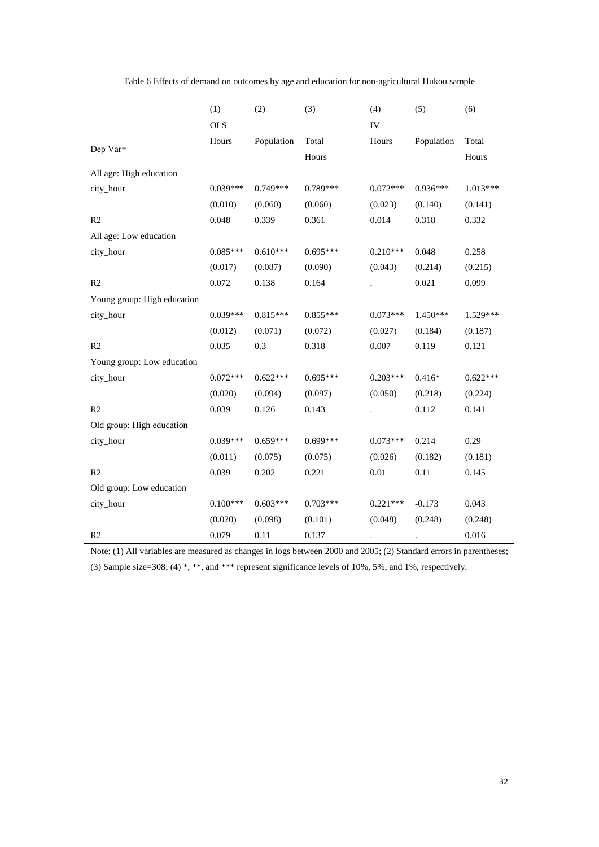<span id="page-32-0"></span>

|                             | (1)        | (2)        | (3)        | (4)        | (5)        | (6)        |
|-----------------------------|------------|------------|------------|------------|------------|------------|
|                             | <b>OLS</b> |            |            | IV         |            |            |
|                             | Hours      | Population | Total      | Hours      | Population | Total      |
| Dep $Var =$                 |            |            | Hours      |            |            | Hours      |
| All age: High education     |            |            |            |            |            |            |
| city_hour                   | $0.039***$ | $0.749***$ | $0.789***$ | $0.072***$ | $0.936***$ | 1.013***   |
|                             | (0.010)    | (0.060)    | (0.060)    | (0.023)    | (0.140)    | (0.141)    |
| R2                          | 0.048      | 0.339      | 0.361      | 0.014      | 0.318      | 0.332      |
| All age: Low education      |            |            |            |            |            |            |
| city_hour                   | $0.085***$ | $0.610***$ | $0.695***$ | $0.210***$ | 0.048      | 0.258      |
|                             | (0.017)    | (0.087)    | (0.090)    | (0.043)    | (0.214)    | (0.215)    |
| R <sub>2</sub>              | 0.072      | 0.138      | 0.164      | $\bullet$  | 0.021      | 0.099      |
| Young group: High education |            |            |            |            |            |            |
| city_hour                   | $0.039***$ | $0.815***$ | $0.855***$ | $0.073***$ | $1.450***$ | 1.529***   |
|                             | (0.012)    | (0.071)    | (0.072)    | (0.027)    | (0.184)    | (0.187)    |
| R <sub>2</sub>              | 0.035      | 0.3        | 0.318      | 0.007      | 0.119      | 0.121      |
| Young group: Low education  |            |            |            |            |            |            |
| city_hour                   | $0.072***$ | $0.622***$ | $0.695***$ | $0.203***$ | $0.416*$   | $0.622***$ |
|                             | (0.020)    | (0.094)    | (0.097)    | (0.050)    | (0.218)    | (0.224)    |
| R <sub>2</sub>              | 0.039      | 0.126      | 0.143      |            | 0.112      | 0.141      |
| Old group: High education   |            |            |            |            |            |            |
| city_hour                   | $0.039***$ | $0.659***$ | $0.699***$ | $0.073***$ | 0.214      | 0.29       |
|                             | (0.011)    | (0.075)    | (0.075)    | (0.026)    | (0.182)    | (0.181)    |
| R <sub>2</sub>              | 0.039      | 0.202      | 0.221      | 0.01       | 0.11       | 0.145      |
| Old group: Low education    |            |            |            |            |            |            |
| city_hour                   | $0.100***$ | $0.603***$ | $0.703***$ | $0.221***$ | $-0.173$   | 0.043      |
|                             | (0.020)    | (0.098)    | (0.101)    | (0.048)    | (0.248)    | (0.248)    |
| R <sub>2</sub>              | 0.079      | 0.11       | 0.137      |            |            | 0.016      |

Table 6 Effects of demand on outcomes by age and education for non-agricultural Hukou sample

Note: (1) All variables are measured as changes in logs between 2000 and 2005; (2) Standard errors in parentheses;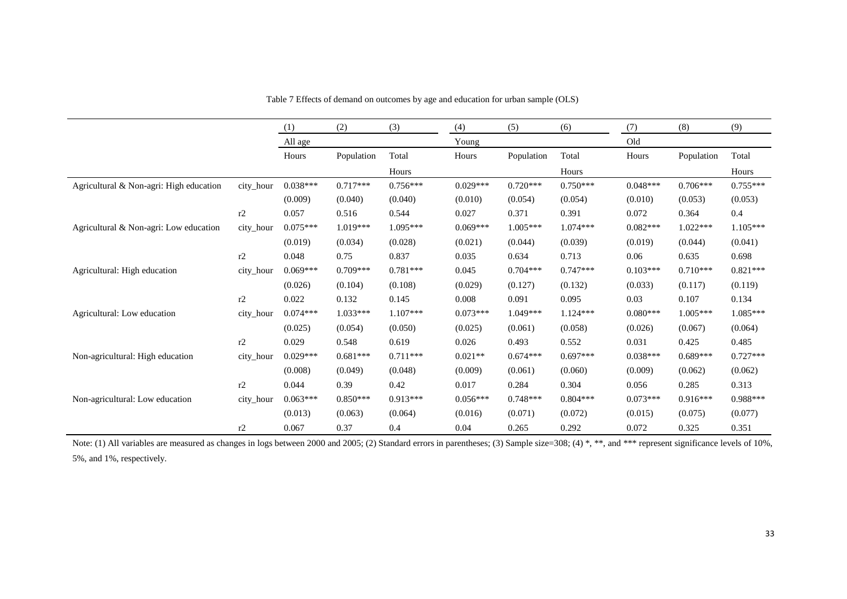|                                         |           | (1)        | (2)        | (3)        | (4)        | (5)        | (6)        | (7)        | (8)        | (9)        |
|-----------------------------------------|-----------|------------|------------|------------|------------|------------|------------|------------|------------|------------|
|                                         |           | All age    |            |            | Young      |            |            | Old        |            |            |
|                                         |           | Hours      | Population | Total      | Hours      | Population | Total      | Hours      | Population | Total      |
|                                         |           |            |            | Hours      |            |            | Hours      |            |            | Hours      |
| Agricultural & Non-agri: High education | city_hour | $0.038***$ | $0.717***$ | $0.756***$ | $0.029***$ | $0.720***$ | $0.750***$ | $0.048***$ | $0.706***$ | $0.755***$ |
|                                         |           | (0.009)    | (0.040)    | (0.040)    | (0.010)    | (0.054)    | (0.054)    | (0.010)    | (0.053)    | (0.053)    |
|                                         | r2        | 0.057      | 0.516      | 0.544      | 0.027      | 0.371      | 0.391      | 0.072      | 0.364      | 0.4        |
| Agricultural & Non-agri: Low education  | city_hour | $0.075***$ | $1.019***$ | 1.095***   | $0.069***$ | $1.005***$ | $1.074***$ | $0.082***$ | $1.022***$ | $1.105***$ |
|                                         |           | (0.019)    | (0.034)    | (0.028)    | (0.021)    | (0.044)    | (0.039)    | (0.019)    | (0.044)    | (0.041)    |
|                                         | r2        | 0.048      | 0.75       | 0.837      | 0.035      | 0.634      | 0.713      | 0.06       | 0.635      | 0.698      |
| Agricultural: High education            | city_hour | $0.069***$ | $0.709***$ | $0.781***$ | 0.045      | $0.704***$ | $0.747***$ | $0.103***$ | $0.710***$ | $0.821***$ |
|                                         |           | (0.026)    | (0.104)    | (0.108)    | (0.029)    | (0.127)    | (0.132)    | (0.033)    | (0.117)    | (0.119)    |
|                                         | r2        | 0.022      | 0.132      | 0.145      | 0.008      | 0.091      | 0.095      | 0.03       | 0.107      | 0.134      |
| Agricultural: Low education             | city_hour | $0.074***$ | $1.033***$ | $1.107***$ | $0.073***$ | $1.049***$ | $1.124***$ | $0.080***$ | $1.005***$ | $1.085***$ |
|                                         |           | (0.025)    | (0.054)    | (0.050)    | (0.025)    | (0.061)    | (0.058)    | (0.026)    | (0.067)    | (0.064)    |
|                                         | r2        | 0.029      | 0.548      | 0.619      | 0.026      | 0.493      | 0.552      | 0.031      | 0.425      | 0.485      |
| Non-agricultural: High education        | city_hour | $0.029***$ | $0.681***$ | $0.711***$ | $0.021**$  | $0.674***$ | $0.697***$ | $0.038***$ | $0.689***$ | $0.727***$ |
|                                         |           | (0.008)    | (0.049)    | (0.048)    | (0.009)    | (0.061)    | (0.060)    | (0.009)    | (0.062)    | (0.062)    |
|                                         | r2        | 0.044      | 0.39       | 0.42       | 0.017      | 0.284      | 0.304      | 0.056      | 0.285      | 0.313      |
| Non-agricultural: Low education         | city_hour | $0.063***$ | $0.850***$ | $0.913***$ | $0.056***$ | $0.748***$ | $0.804***$ | $0.073***$ | $0.916***$ | $0.988***$ |
|                                         |           | (0.013)    | (0.063)    | (0.064)    | (0.016)    | (0.071)    | (0.072)    | (0.015)    | (0.075)    | (0.077)    |
|                                         | r2        | 0.067      | 0.37       | 0.4        | 0.04       | 0.265      | 0.292      | 0.072      | 0.325      | 0.351      |

Table 7 Effects of demand on outcomes by age and education for urban sample (OLS)

<span id="page-33-0"></span>Note: (1) All variables are measured as changes in logs between 2000 and 2005; (2) Standard errors in parentheses; (3) Sample size=308; (4) \*, \*\*, and \*\*\* represent significance levels of 10%, 5%, and 1%, respectively.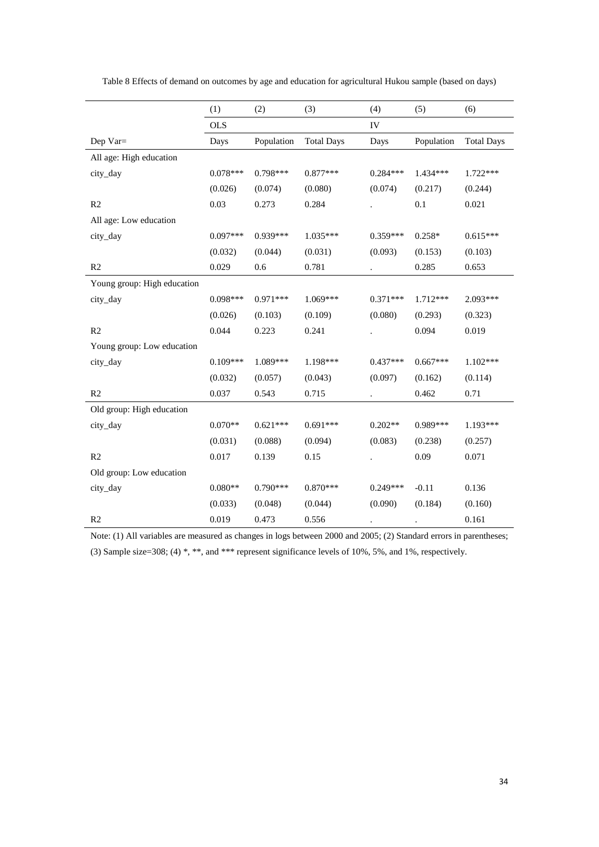|                             | (1)        | (2)        | (3)               | (4)        | (5)        | (6)               |
|-----------------------------|------------|------------|-------------------|------------|------------|-------------------|
|                             | <b>OLS</b> |            |                   | IV         |            |                   |
| Dep Var=                    | Days       | Population | <b>Total Days</b> | Days       | Population | <b>Total Days</b> |
| All age: High education     |            |            |                   |            |            |                   |
| city_day                    | $0.078***$ | $0.798***$ | $0.877***$        | $0.284***$ | $1.434***$ | 1.722***          |
|                             | (0.026)    | (0.074)    | (0.080)           | (0.074)    | (0.217)    | (0.244)           |
| R <sub>2</sub>              | 0.03       | 0.273      | 0.284             |            | 0.1        | 0.021             |
| All age: Low education      |            |            |                   |            |            |                   |
| city_day                    | $0.097***$ | 0.939***   | $1.035***$        | $0.359***$ | $0.258*$   | $0.615***$        |
|                             | (0.032)    | (0.044)    | (0.031)           | (0.093)    | (0.153)    | (0.103)           |
| R <sub>2</sub>              | 0.029      | 0.6        | 0.781             |            | 0.285      | 0.653             |
| Young group: High education |            |            |                   |            |            |                   |
| city_day                    | $0.098***$ | $0.971***$ | $1.069***$        | $0.371***$ | 1.712***   | $2.093***$        |
|                             | (0.026)    | (0.103)    | (0.109)           | (0.080)    | (0.293)    | (0.323)           |
| R2                          | 0.044      | 0.223      | 0.241             |            | 0.094      | 0.019             |
| Young group: Low education  |            |            |                   |            |            |                   |
| city_day                    | $0.109***$ | 1.089***   | 1.198***          | $0.437***$ | $0.667***$ | $1.102***$        |
|                             | (0.032)    | (0.057)    | (0.043)           | (0.097)    | (0.162)    | (0.114)           |
| R2                          | 0.037      | 0.543      | 0.715             |            | 0.462      | 0.71              |
| Old group: High education   |            |            |                   |            |            |                   |
| city_day                    | $0.070**$  | $0.621***$ | $0.691***$        | $0.202**$  | 0.989***   | 1.193***          |
|                             | (0.031)    | (0.088)    | (0.094)           | (0.083)    | (0.238)    | (0.257)           |
| R <sub>2</sub>              | 0.017      | 0.139      | 0.15              |            | 0.09       | 0.071             |
| Old group: Low education    |            |            |                   |            |            |                   |
| city_day                    | $0.080**$  | $0.790***$ | $0.870***$        | $0.249***$ | $-0.11$    | 0.136             |
|                             | (0.033)    | (0.048)    | (0.044)           | (0.090)    | (0.184)    | (0.160)           |
| R <sub>2</sub>              | 0.019      | 0.473      | 0.556             |            |            | 0.161             |

<span id="page-34-0"></span>Table 8 Effects of demand on outcomes by age and education for agricultural Hukou sample (based on days)

Note: (1) All variables are measured as changes in logs between 2000 and 2005; (2) Standard errors in parentheses;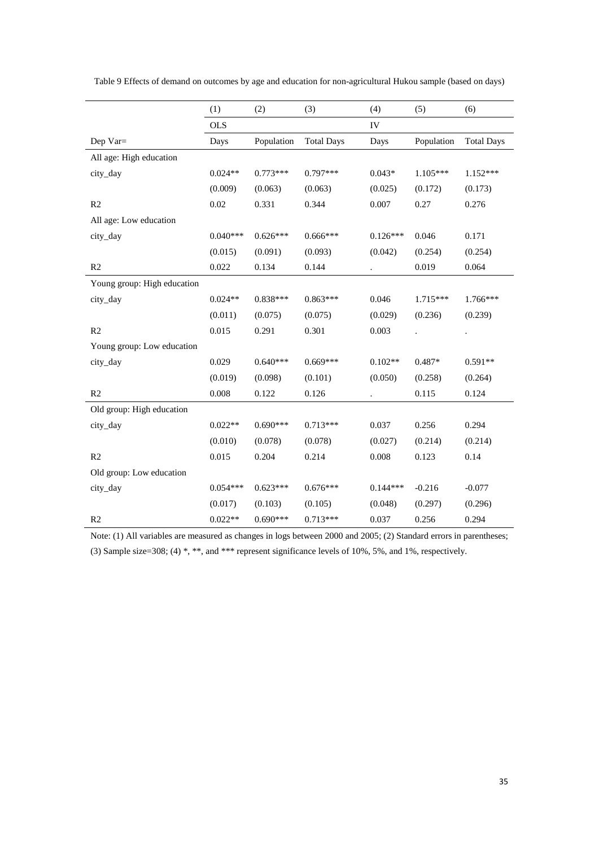|                             | (1)        | (2)        | (3)               | (4)        | (5)        | (6)               |
|-----------------------------|------------|------------|-------------------|------------|------------|-------------------|
|                             | <b>OLS</b> |            |                   | IV         |            |                   |
| Dep Var=                    | Days       | Population | <b>Total Days</b> | Days       | Population | <b>Total Days</b> |
| All age: High education     |            |            |                   |            |            |                   |
| city_day                    | $0.024**$  | $0.773***$ | $0.797***$        | $0.043*$   | $1.105***$ | $1.152***$        |
|                             | (0.009)    | (0.063)    | (0.063)           | (0.025)    | (0.172)    | (0.173)           |
| R2                          | 0.02       | 0.331      | 0.344             | 0.007      | 0.27       | 0.276             |
| All age: Low education      |            |            |                   |            |            |                   |
| city_day                    | $0.040***$ | $0.626***$ | $0.666***$        | $0.126***$ | 0.046      | 0.171             |
|                             | (0.015)    | (0.091)    | (0.093)           | (0.042)    | (0.254)    | (0.254)           |
| R <sub>2</sub>              | 0.022      | 0.134      | 0.144             |            | 0.019      | 0.064             |
| Young group: High education |            |            |                   |            |            |                   |
| city_day                    | $0.024**$  | $0.838***$ | 0.863***          | 0.046      | $1.715***$ | 1.766***          |
|                             | (0.011)    | (0.075)    | (0.075)           | (0.029)    | (0.236)    | (0.239)           |
| R <sub>2</sub>              | 0.015      | 0.291      | 0.301             | 0.003      |            |                   |
| Young group: Low education  |            |            |                   |            |            |                   |
| city_day                    | 0.029      | $0.640***$ | $0.669***$        | $0.102**$  | $0.487*$   | $0.591**$         |
|                             | (0.019)    | (0.098)    | (0.101)           | (0.050)    | (0.258)    | (0.264)           |
| R <sub>2</sub>              | 0.008      | 0.122      | 0.126             |            | 0.115      | 0.124             |
| Old group: High education   |            |            |                   |            |            |                   |
| city_day                    | $0.022**$  | $0.690***$ | $0.713***$        | 0.037      | 0.256      | 0.294             |
|                             | (0.010)    | (0.078)    | (0.078)           | (0.027)    | (0.214)    | (0.214)           |
| R <sub>2</sub>              | 0.015      | 0.204      | 0.214             | 0.008      | 0.123      | 0.14              |
| Old group: Low education    |            |            |                   |            |            |                   |
| city_day                    | $0.054***$ | $0.623***$ | $0.676***$        | $0.144***$ | $-0.216$   | $-0.077$          |
|                             | (0.017)    | (0.103)    | (0.105)           | (0.048)    | (0.297)    | (0.296)           |
| R <sub>2</sub>              | $0.022**$  | $0.690***$ | $0.713***$        | 0.037      | 0.256      | 0.294             |

<span id="page-35-0"></span>Table 9 Effects of demand on outcomes by age and education for non-agricultural Hukou sample (based on days)

Note: (1) All variables are measured as changes in logs between 2000 and 2005; (2) Standard errors in parentheses; (3) Sample size=308; (4) \*, \*\*, and \*\*\* represent significance levels of 10%, 5%, and 1%, respectively.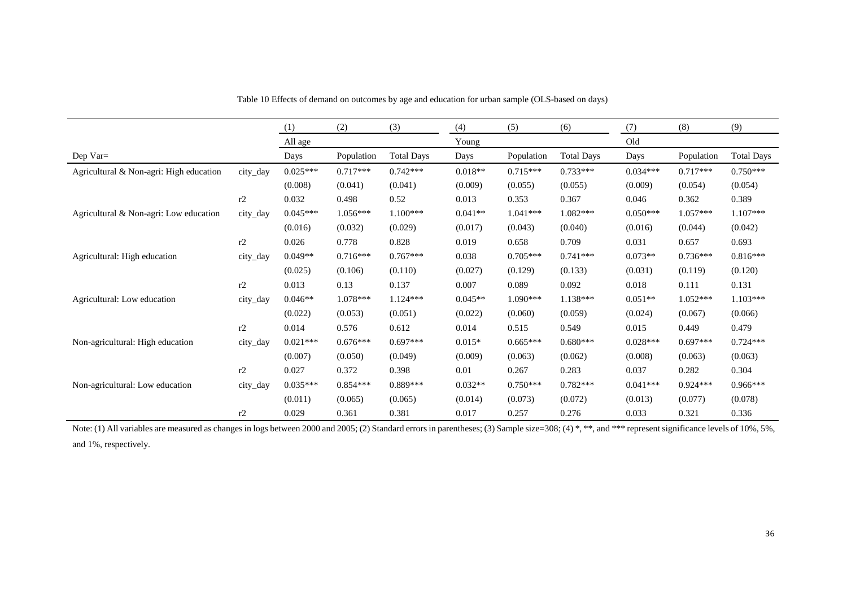|                                         |          | (1)        | (2)        | (3)               | (4)       | (5)        | (6)               | (7)        | (8)        | (9)               |
|-----------------------------------------|----------|------------|------------|-------------------|-----------|------------|-------------------|------------|------------|-------------------|
|                                         |          | All age    |            |                   | Young     |            |                   | Old        |            |                   |
| Dep Var=                                |          | Days       | Population | <b>Total Days</b> | Days      | Population | <b>Total Days</b> | Days       | Population | <b>Total Days</b> |
| Agricultural & Non-agri: High education | city_day | $0.025***$ | $0.717***$ | $0.742***$        | $0.018**$ | $0.715***$ | $0.733***$        | $0.034***$ | $0.717***$ | $0.750***$        |
|                                         |          | (0.008)    | (0.041)    | (0.041)           | (0.009)   | (0.055)    | (0.055)           | (0.009)    | (0.054)    | (0.054)           |
|                                         | r2       | 0.032      | 0.498      | 0.52              | 0.013     | 0.353      | 0.367             | 0.046      | 0.362      | 0.389             |
| Agricultural & Non-agri: Low education  | city_day | $0.045***$ | $1.056***$ | $1.100***$        | $0.041**$ | $1.041***$ | $1.082***$        | $0.050***$ | $1.057***$ | $1.107***$        |
|                                         |          | (0.016)    | (0.032)    | (0.029)           | (0.017)   | (0.043)    | (0.040)           | (0.016)    | (0.044)    | (0.042)           |
|                                         | r2       | 0.026      | 0.778      | 0.828             | 0.019     | 0.658      | 0.709             | 0.031      | 0.657      | 0.693             |
| Agricultural: High education            | city_day | $0.049**$  | $0.716***$ | $0.767***$        | 0.038     | $0.705***$ | $0.741***$        | $0.073**$  | $0.736***$ | $0.816***$        |
|                                         |          | (0.025)    | (0.106)    | (0.110)           | (0.027)   | (0.129)    | (0.133)           | (0.031)    | (0.119)    | (0.120)           |
|                                         | r2       | 0.013      | 0.13       | 0.137             | 0.007     | 0.089      | 0.092             | 0.018      | 0.111      | 0.131             |
| Agricultural: Low education             | city_day | $0.046**$  | $1.078***$ | $1.124***$        | $0.045**$ | $1.090***$ | $1.138***$        | $0.051**$  | $1.052***$ | $1.103***$        |
|                                         |          | (0.022)    | (0.053)    | (0.051)           | (0.022)   | (0.060)    | (0.059)           | (0.024)    | (0.067)    | (0.066)           |
|                                         | r2       | 0.014      | 0.576      | 0.612             | 0.014     | 0.515      | 0.549             | 0.015      | 0.449      | 0.479             |
| Non-agricultural: High education        | city_day | $0.021***$ | $0.676***$ | $0.697***$        | $0.015*$  | $0.665***$ | $0.680***$        | $0.028***$ | $0.697***$ | $0.724***$        |
|                                         |          | (0.007)    | (0.050)    | (0.049)           | (0.009)   | (0.063)    | (0.062)           | (0.008)    | (0.063)    | (0.063)           |
|                                         | r2       | 0.027      | 0.372      | 0.398             | 0.01      | 0.267      | 0.283             | 0.037      | 0.282      | 0.304             |
| Non-agricultural: Low education         | city_day | $0.035***$ | $0.854***$ | $0.889***$        | $0.032**$ | $0.750***$ | $0.782***$        | $0.041***$ | $0.924***$ | $0.966***$        |
|                                         |          | (0.011)    | (0.065)    | (0.065)           | (0.014)   | (0.073)    | (0.072)           | (0.013)    | (0.077)    | (0.078)           |
|                                         | r2       | 0.029      | 0.361      | 0.381             | 0.017     | 0.257      | 0.276             | 0.033      | 0.321      | 0.336             |

Table 10 Effects of demand on outcomes by age and education for urban sample (OLS-based on days)

<span id="page-36-0"></span>Note: (1) All variables are measured as changes in logs between 2000 and 2005; (2) Standard errors in parentheses; (3) Sample size=308; (4) \*, \*\*, and \*\*\* represent significance levels of 10%, 5%, and 1%, respectively.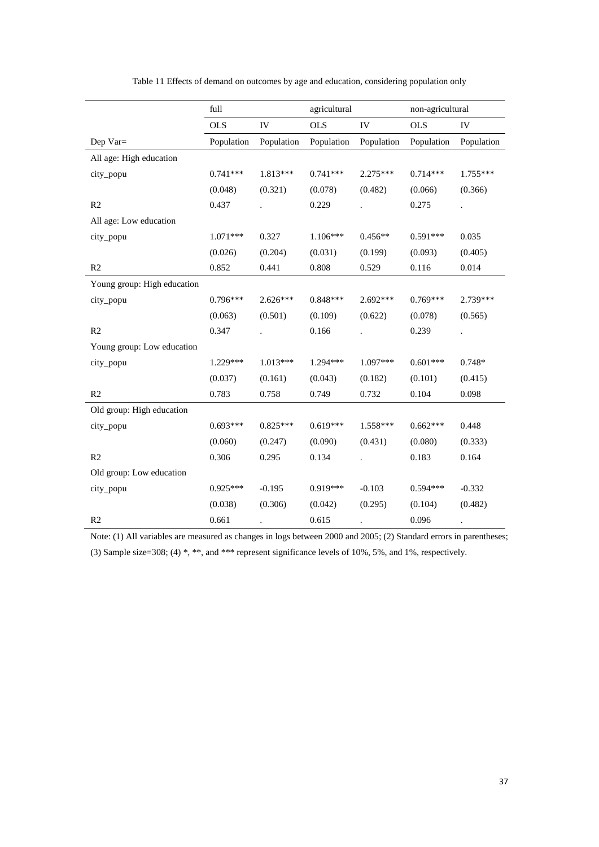<span id="page-37-0"></span>

|                             | full       |            | agricultural |            |            | non-agricultural |
|-----------------------------|------------|------------|--------------|------------|------------|------------------|
|                             | <b>OLS</b> | IV         | <b>OLS</b>   | IV         | <b>OLS</b> | IV               |
| Dep Var=                    | Population | Population | Population   | Population | Population | Population       |
| All age: High education     |            |            |              |            |            |                  |
| city_popu                   | $0.741***$ | 1.813***   | $0.741***$   | 2.275***   | $0.714***$ | $1.755***$       |
|                             | (0.048)    | (0.321)    | (0.078)      | (0.482)    | (0.066)    | (0.366)          |
| R2                          | 0.437      |            | 0.229        |            | 0.275      |                  |
| All age: Low education      |            |            |              |            |            |                  |
| city_popu                   | $1.071***$ | 0.327      | $1.106***$   | $0.456**$  | $0.591***$ | 0.035            |
|                             | (0.026)    | (0.204)    | (0.031)      | (0.199)    | (0.093)    | (0.405)          |
| R <sub>2</sub>              | 0.852      | 0.441      | 0.808        | 0.529      | 0.116      | 0.014            |
| Young group: High education |            |            |              |            |            |                  |
| city_popu                   | $0.796***$ | $2.626***$ | $0.848***$   | 2.692 ***  | $0.769***$ | 2.739***         |
|                             | (0.063)    | (0.501)    | (0.109)      | (0.622)    | (0.078)    | (0.565)          |
| R <sub>2</sub>              | 0.347      |            | 0.166        |            | 0.239      |                  |
| Young group: Low education  |            |            |              |            |            |                  |
| city_popu                   | 1.229***   | $1.013***$ | 1.294***     | 1.097***   | $0.601***$ | $0.748*$         |
|                             | (0.037)    | (0.161)    | (0.043)      | (0.182)    | (0.101)    | (0.415)          |
| R2                          | 0.783      | 0.758      | 0.749        | 0.732      | 0.104      | 0.098            |
| Old group: High education   |            |            |              |            |            |                  |
| city_popu                   | $0.693***$ | $0.825***$ | $0.619***$   | $1.558***$ | $0.662***$ | 0.448            |
|                             | (0.060)    | (0.247)    | (0.090)      | (0.431)    | (0.080)    | (0.333)          |
| R <sub>2</sub>              | 0.306      | 0.295      | 0.134        |            | 0.183      | 0.164            |
| Old group: Low education    |            |            |              |            |            |                  |
| city_popu                   | $0.925***$ | $-0.195$   | 0.919***     | $-0.103$   | $0.594***$ | $-0.332$         |
|                             | (0.038)    | (0.306)    | (0.042)      | (0.295)    | (0.104)    | (0.482)          |
| R <sub>2</sub>              | 0.661      |            | 0.615        |            | 0.096      |                  |

| Table 11 Effects of demand on outcomes by age and education, considering population only |  |  |
|------------------------------------------------------------------------------------------|--|--|
|------------------------------------------------------------------------------------------|--|--|

Note: (1) All variables are measured as changes in logs between 2000 and 2005; (2) Standard errors in parentheses; (3) Sample size=308; (4) \*, \*\*, and \*\*\* represent significance levels of 10%, 5%, and 1%, respectively.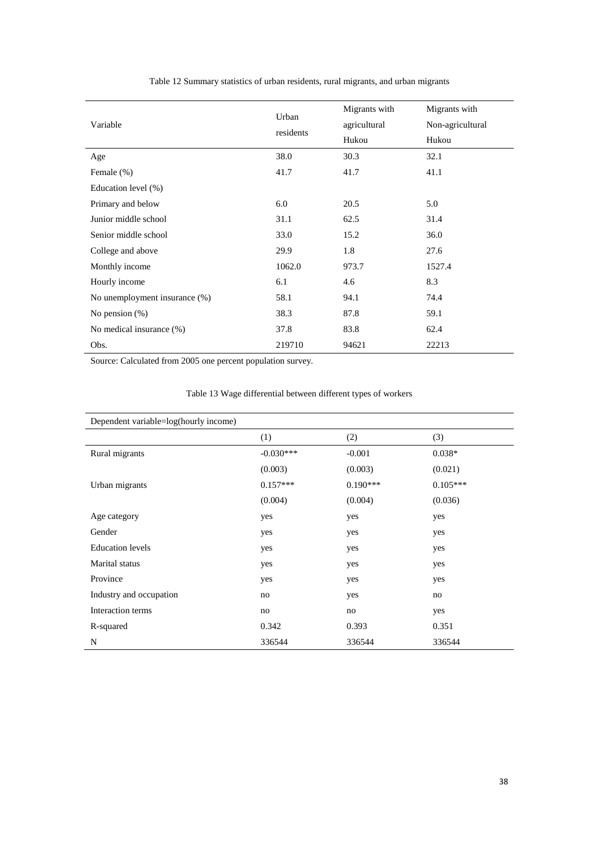<span id="page-38-0"></span>

| Variable                      | Urban<br>residents | Migrants with<br>agricultural<br>Hukou | Migrants with<br>Non-agricultural<br>Hukou |
|-------------------------------|--------------------|----------------------------------------|--------------------------------------------|
| Age                           | 38.0               | 30.3                                   | 32.1                                       |
| Female (%)                    | 41.7               | 41.7                                   | 41.1                                       |
| Education level (%)           |                    |                                        |                                            |
| Primary and below             | 6.0                | 20.5                                   | 5.0                                        |
| Junior middle school          | 31.1               | 62.5                                   | 31.4                                       |
| Senior middle school          | 33.0               | 15.2                                   | 36.0                                       |
| College and above             | 29.9               | 1.8                                    | 27.6                                       |
| Monthly income                | 1062.0             | 973.7                                  | 1527.4                                     |
| Hourly income                 | 6.1                | 4.6                                    | 8.3                                        |
| No unemployment insurance (%) | 58.1               | 94.1                                   | 74.4                                       |
| No pension $(\%)$             | 38.3               | 87.8                                   | 59.1                                       |
| No medical insurance (%)      | 37.8               | 83.8                                   | 62.4                                       |
| Obs.                          | 219710             | 94621                                  | 22213                                      |

Table 12 Summary statistics of urban residents, rural migrants, and urban migrants

Source: Calculated from 2005 one percent population survey.

<span id="page-38-1"></span>

| Dependent variable=log(hourly income) |             |            |            |  |  |  |
|---------------------------------------|-------------|------------|------------|--|--|--|
|                                       | (1)         | (2)        | (3)        |  |  |  |
| Rural migrants                        | $-0.030***$ | $-0.001$   | $0.038*$   |  |  |  |
|                                       | (0.003)     | (0.003)    | (0.021)    |  |  |  |
| Urban migrants                        | $0.157***$  | $0.190***$ | $0.105***$ |  |  |  |
|                                       | (0.004)     | (0.004)    | (0.036)    |  |  |  |
| Age category                          | yes         | yes        | yes        |  |  |  |
| Gender                                | yes         | yes        | yes        |  |  |  |
| <b>Education</b> levels               | yes         | yes        | yes        |  |  |  |
| Marital status                        | yes         | yes        | yes        |  |  |  |
| Province                              | yes         | yes        | yes        |  |  |  |
| Industry and occupation               | no          | yes        | no         |  |  |  |
| Interaction terms                     | no          | no         | yes        |  |  |  |
| R-squared                             | 0.342       | 0.393      | 0.351      |  |  |  |
| N                                     | 336544      | 336544     | 336544     |  |  |  |

#### Table 13 Wage differential between different types of workers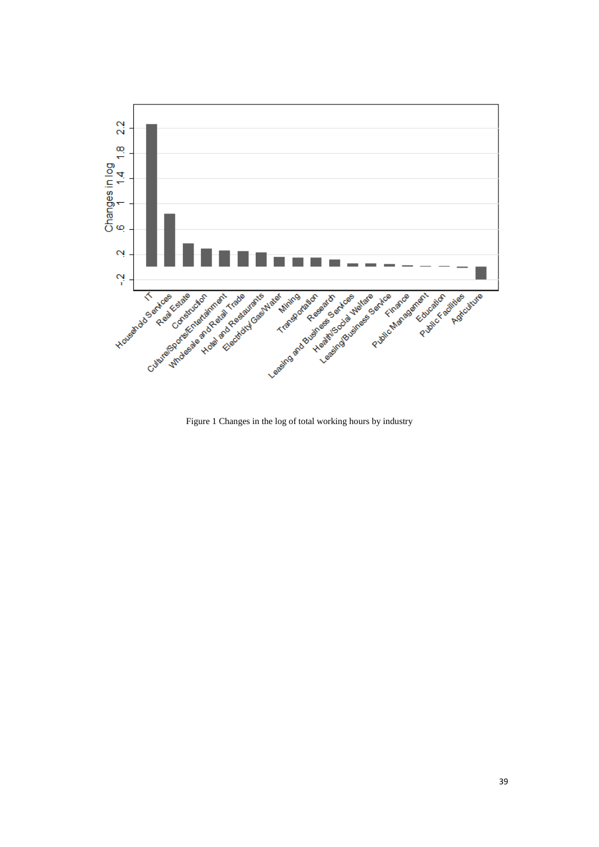

<span id="page-39-0"></span>Figure 1 Changes in the log of total working hours by industry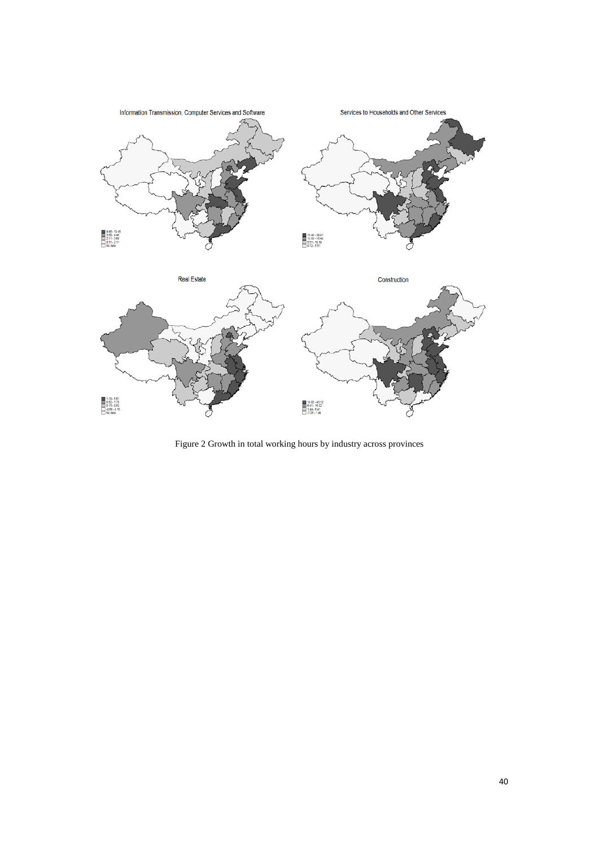

<span id="page-40-0"></span>Figure 2 Growth in total working hours by industry across provinces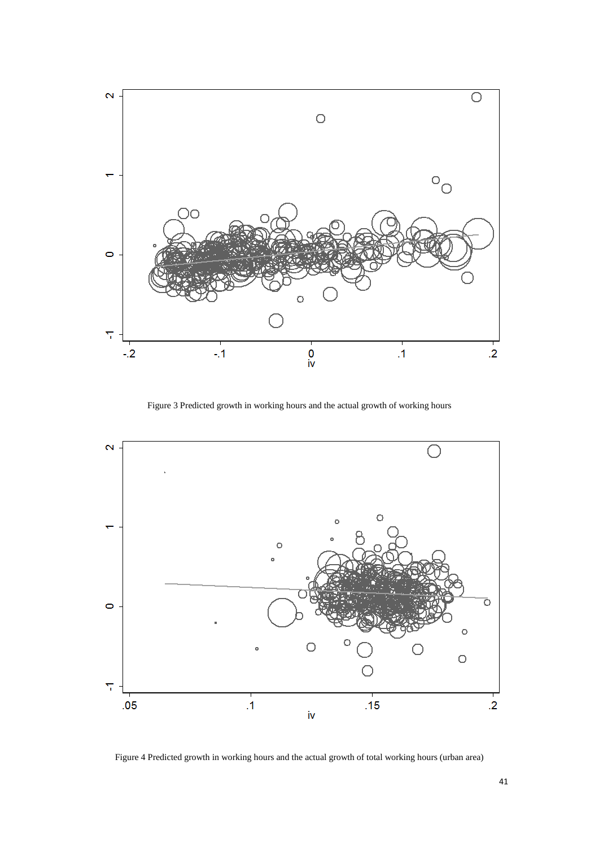

Figure 3 Predicted growth in working hours and the actual growth of working hours

<span id="page-41-0"></span>

<span id="page-41-1"></span>Figure 4 Predicted growth in working hours and the actual growth of total working hours (urban area)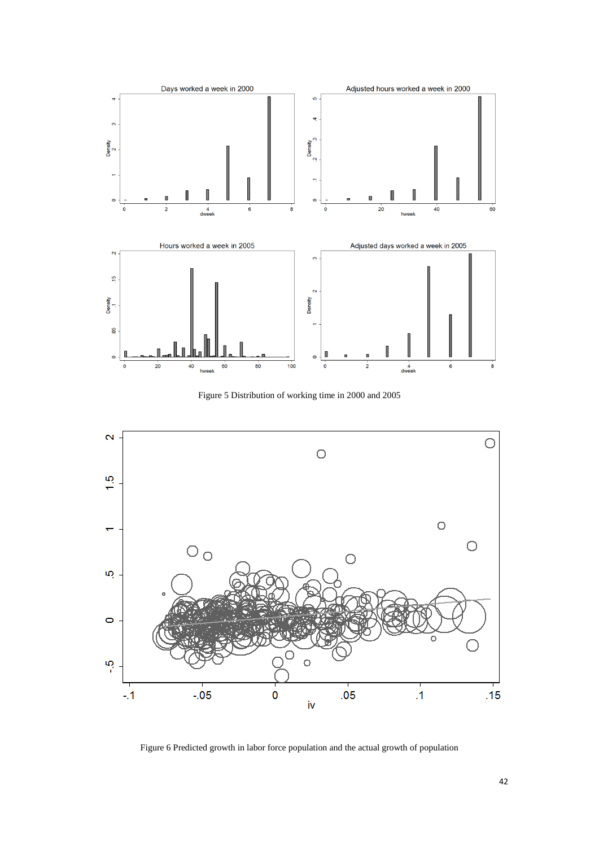

Figure 5 Distribution of working time in 2000 and 2005

<span id="page-42-0"></span>

<span id="page-42-1"></span>Figure 6 Predicted growth in labor force population and the actual growth of population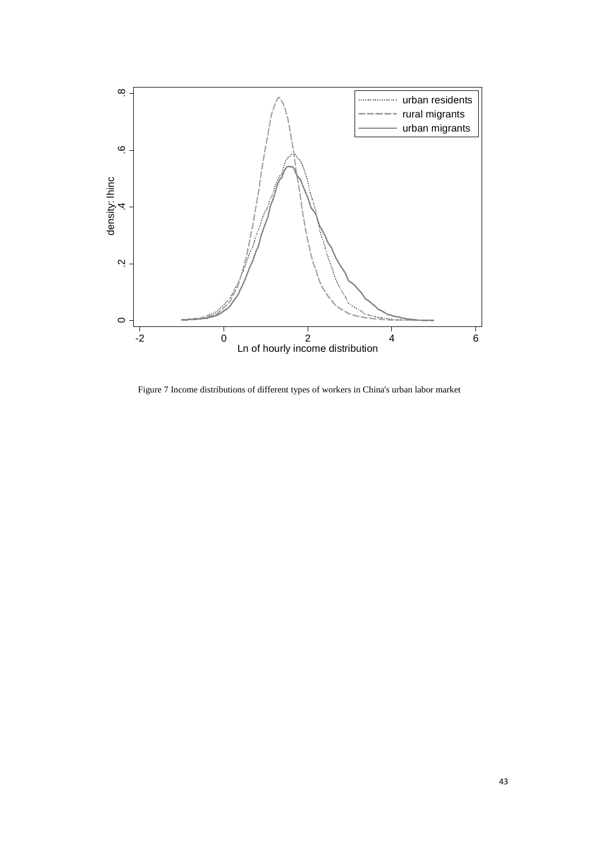

<span id="page-43-0"></span>Figure 7 Income distributions of different types of workers in China's urban labor market